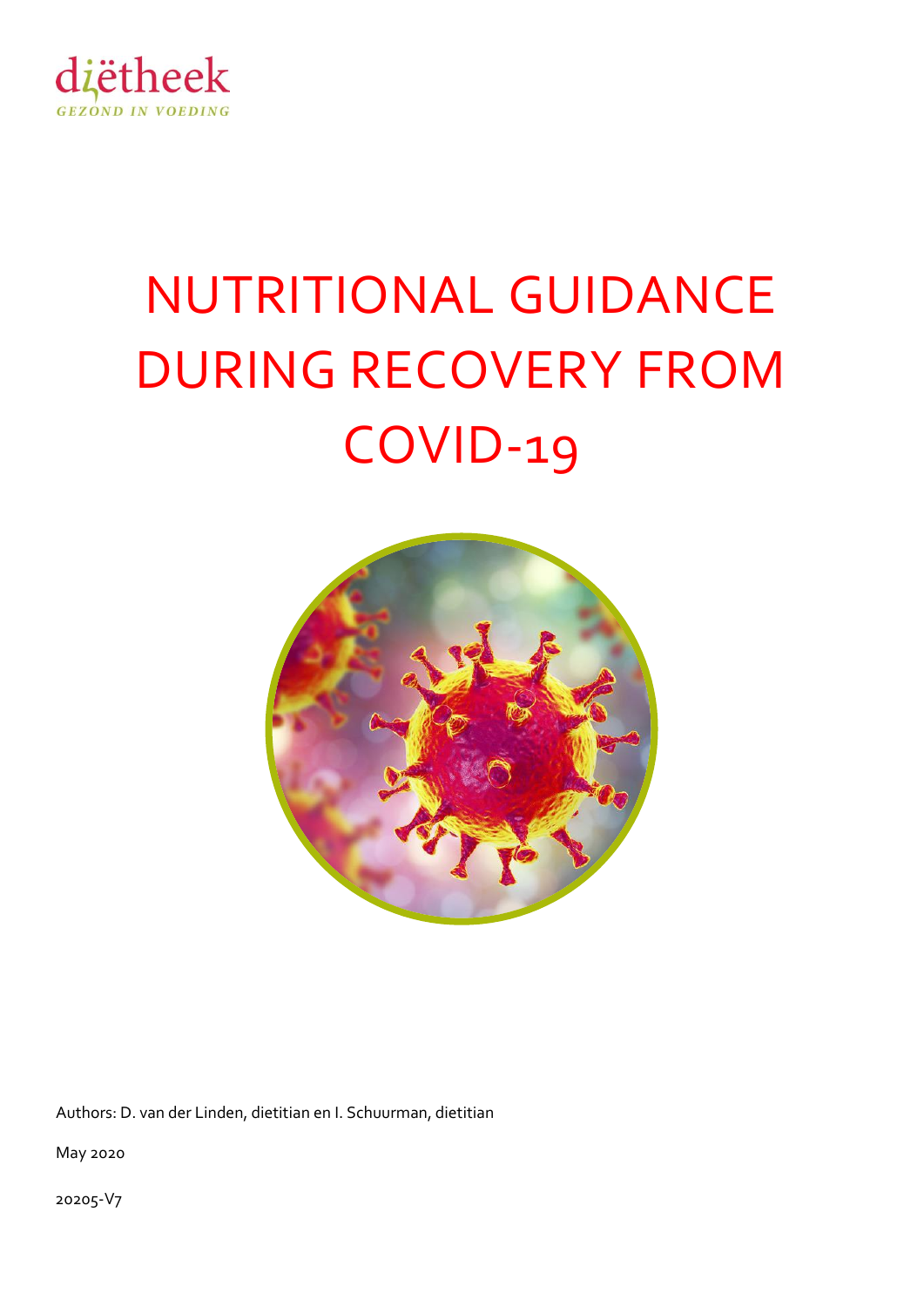

# NUTRITIONAL GUIDANCE DURING RECOVERY FROM COVID-19



Authors: D. van der Linden, dietitian en I. Schuurman, dietitian

May 2020

20205-V7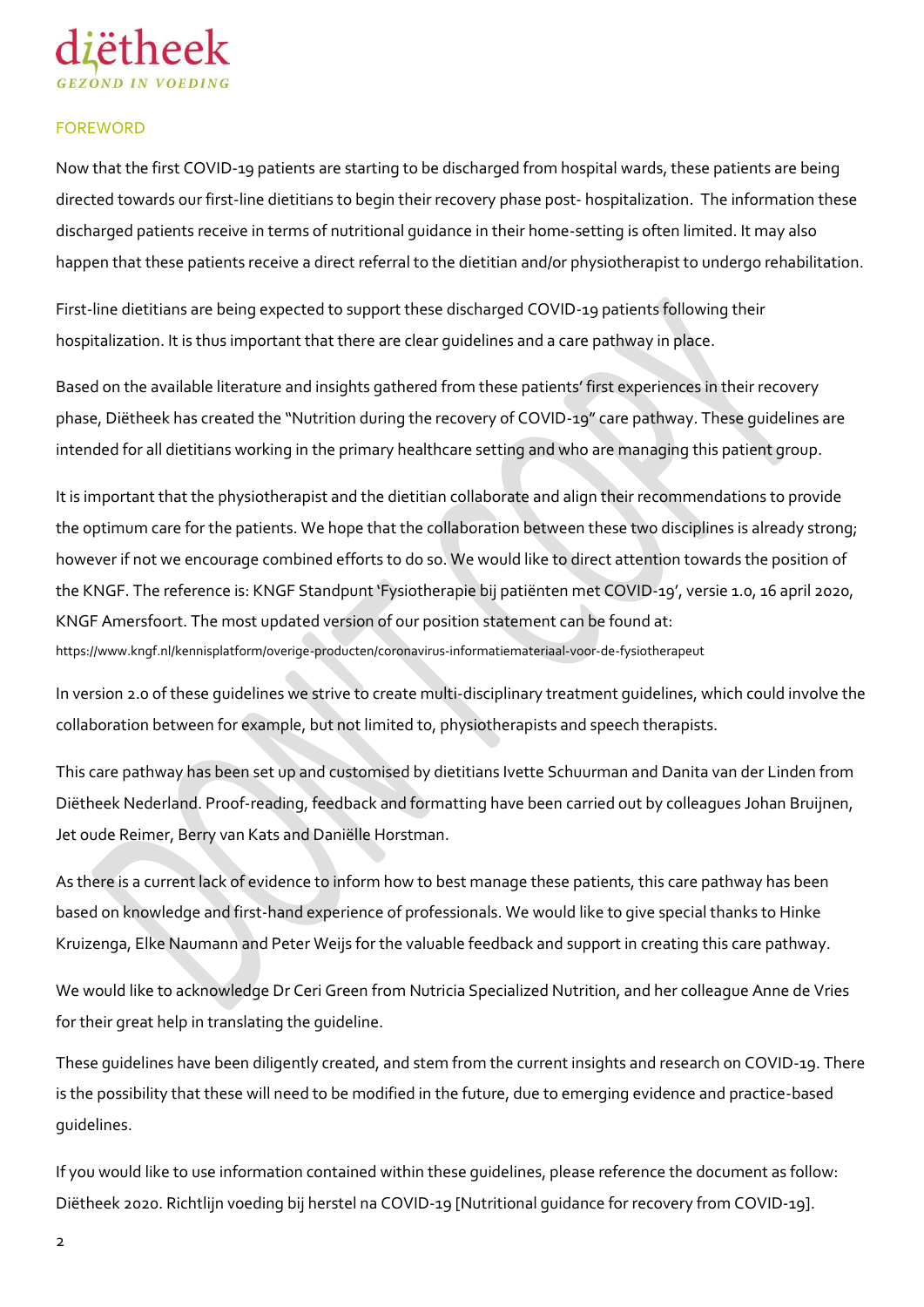

#### **FOREWORD**

Now that the first COVID-19 patients are starting to be discharged from hospital wards, these patients are being directed towards our first-line dietitians to begin their recovery phase post- hospitalization. The information these discharged patients receive in terms of nutritional guidance in their home-setting is often limited. It may also happen that these patients receive a direct referral to the dietitian and/or physiotherapist to undergo rehabilitation.

First-line dietitians are being expected to support these discharged COVID-19 patients following their hospitalization. It is thus important that there are clear guidelines and a care pathway in place.

Based on the available literature and insights gathered from these patients' first experiences in their recovery phase, Diëtheek has created the "Nutrition during the recovery of COVID-19" care pathway. These guidelines are intended for all dietitians working in the primary healthcare setting and who are managing this patient group.

It is important that the physiotherapist and the dietitian collaborate and align their recommendations to provide the optimum care for the patients. We hope that the collaboration between these two disciplines is already strong; however if not we encourage combined efforts to do so. We would like to direct attention towards the position of the KNGF. The reference is: KNGF Standpunt 'Fysiotherapie bij patiënten met COVID-19', versie 1.0, 16 april 2020, KNGF Amersfoort. The most updated version of our position statement can be found at: <https://www.kngf.nl/kennisplatform/overige-producten/coronavirus-informatiemateriaal-voor-de-fysiotherapeut>

In version 2.0 of these guidelines we strive to create multi-disciplinary treatment guidelines, which could involve the collaboration between for example, but not limited to, physiotherapists and speech therapists.

This care pathway has been set up and customised by dietitians Ivette Schuurman and Danita van der Linden from Diëtheek Nederland. Proof-reading, feedback and formatting have been carried out by colleagues Johan Bruijnen, Jet oude Reimer, Berry van Kats and Daniëlle Horstman.

As there is a current lack of evidence to inform how to best manage these patients, this care pathway has been based on knowledge and first-hand experience of professionals. We would like to give special thanks to Hinke Kruizenga, Elke Naumann and Peter Weijs for the valuable feedback and support in creating this care pathway.

We would like to acknowledge Dr Ceri Green from Nutricia Specialized Nutrition, and her colleague Anne de Vries for their great help in translating the guideline.

These guidelines have been diligently created, and stem from the current insights and research on COVID-19. There is the possibility that these will need to be modified in the future, due to emerging evidence and practice-based guidelines.

If you would like to use information contained within these guidelines, please reference the document as follow: Diëtheek 2020. Richtlijn voeding bij herstel na COVID-19 [Nutritional guidance for recovery from COVID-19].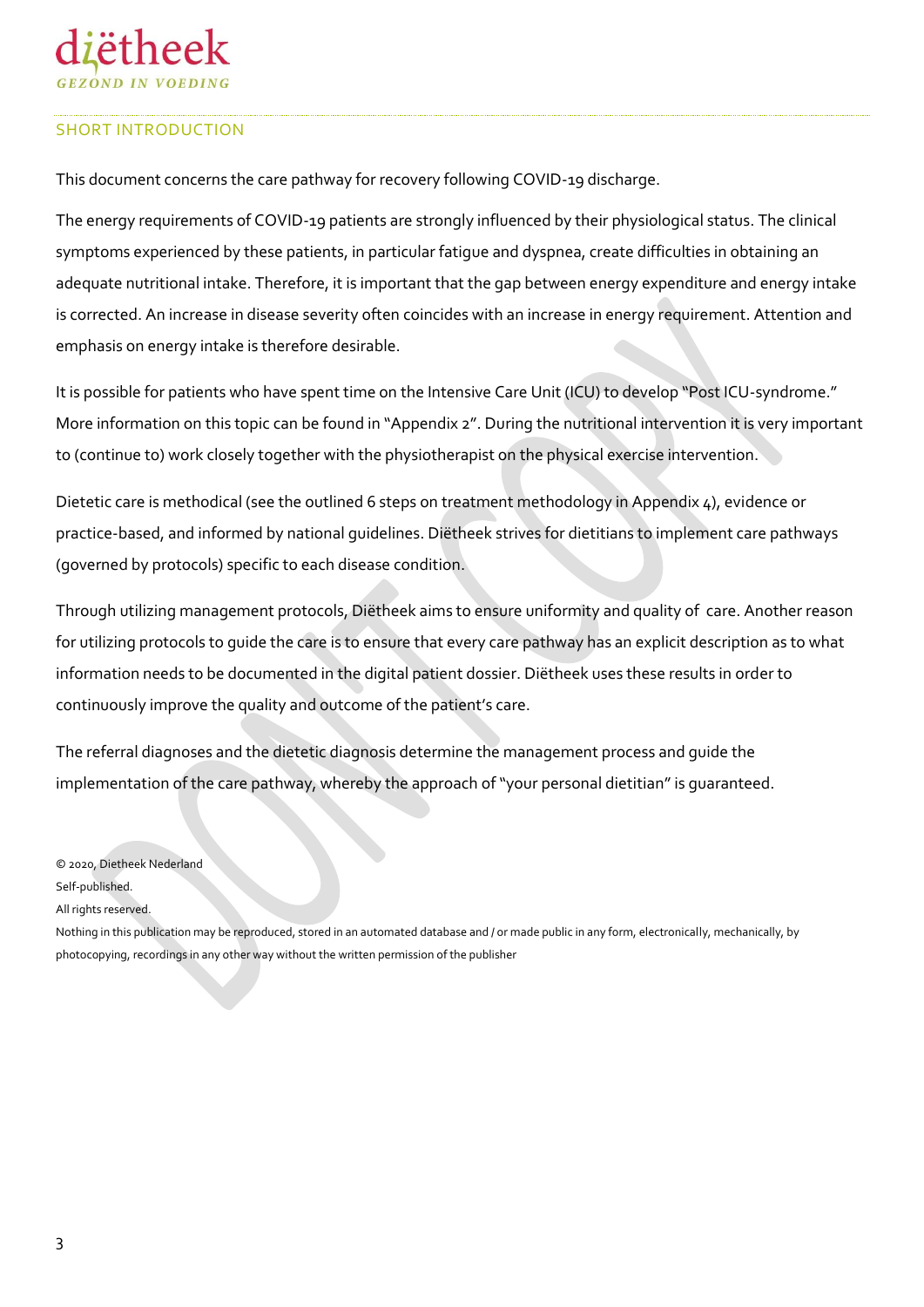#### SHORT INTRODUCTION

This document concerns the care pathway for recovery following COVID-19 discharge.

The energy requirements of COVID-19 patients are strongly influenced by their physiological status. The clinical symptoms experienced by these patients, in particular fatigue and dyspnea, create difficulties in obtaining an adequate nutritional intake. Therefore, it is important that the gap between energy expenditure and energy intake is corrected. An increase in disease severity often coincides with an increase in energy requirement. Attention and emphasis on energy intake is therefore desirable.

It is possible for patients who have spent time on the Intensive Care Unit (ICU) to develop "Post ICU-syndrome." More information on this topic can be found in "Appendix 2". During the nutritional intervention it is very important to (continue to) work closely together with the physiotherapist on the physical exercise intervention.

Dietetic care is methodical (see the outlined 6 steps on treatment methodology in Appendix 4), evidence or practice-based, and informed by national guidelines. Diëtheek strives for dietitians to implement care pathways (governed by protocols) specific to each disease condition.

Through utilizing management protocols, Diëtheek aims to ensure uniformity and quality of care. Another reason for utilizing protocols to guide the care is to ensure that every care pathway has an explicit description as to what information needs to be documented in the digital patient dossier. Diëtheek uses these results in order to continuously improve the quality and outcome of the patient's care.

The referral diagnoses and the dietetic diagnosis determine the management process and guide the implementation of the care pathway, whereby the approach of "your personal dietitian" is guaranteed.

© 2020, Dietheek Nederland

Self-published.

All rights reserved.

Nothing in this publication may be reproduced, stored in an automated database and / or made public in any form, electronically, mechanically, by photocopying, recordings in any other way without the written permission of the publisher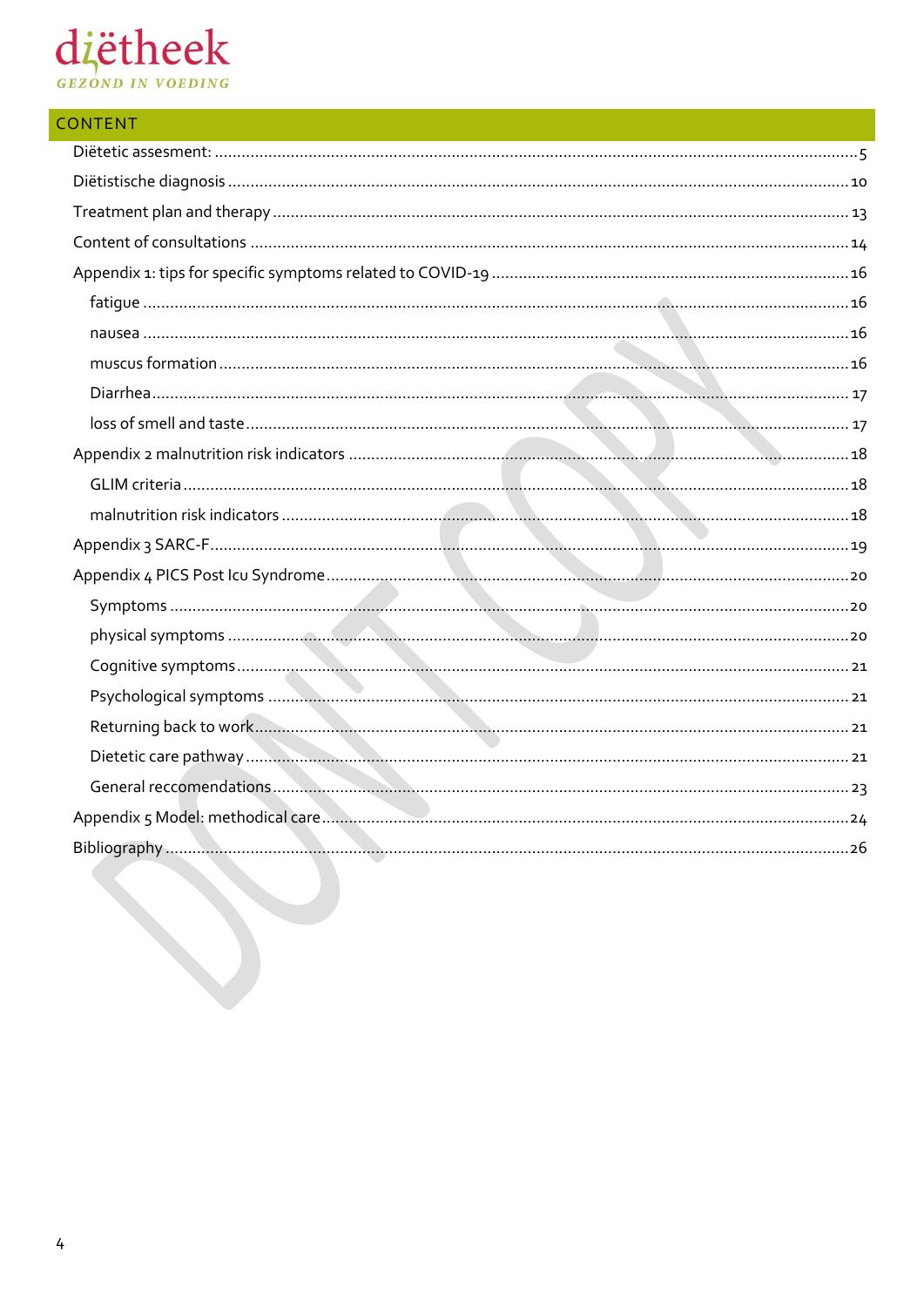# diëtheek

| <b>CONTENT</b> |  |
|----------------|--|
|                |  |
|                |  |
|                |  |
|                |  |
|                |  |
|                |  |
|                |  |
|                |  |
|                |  |
|                |  |
|                |  |
|                |  |
|                |  |
|                |  |
|                |  |
|                |  |
|                |  |
|                |  |
|                |  |
|                |  |
|                |  |
|                |  |
|                |  |
|                |  |
|                |  |
|                |  |
|                |  |
|                |  |
|                |  |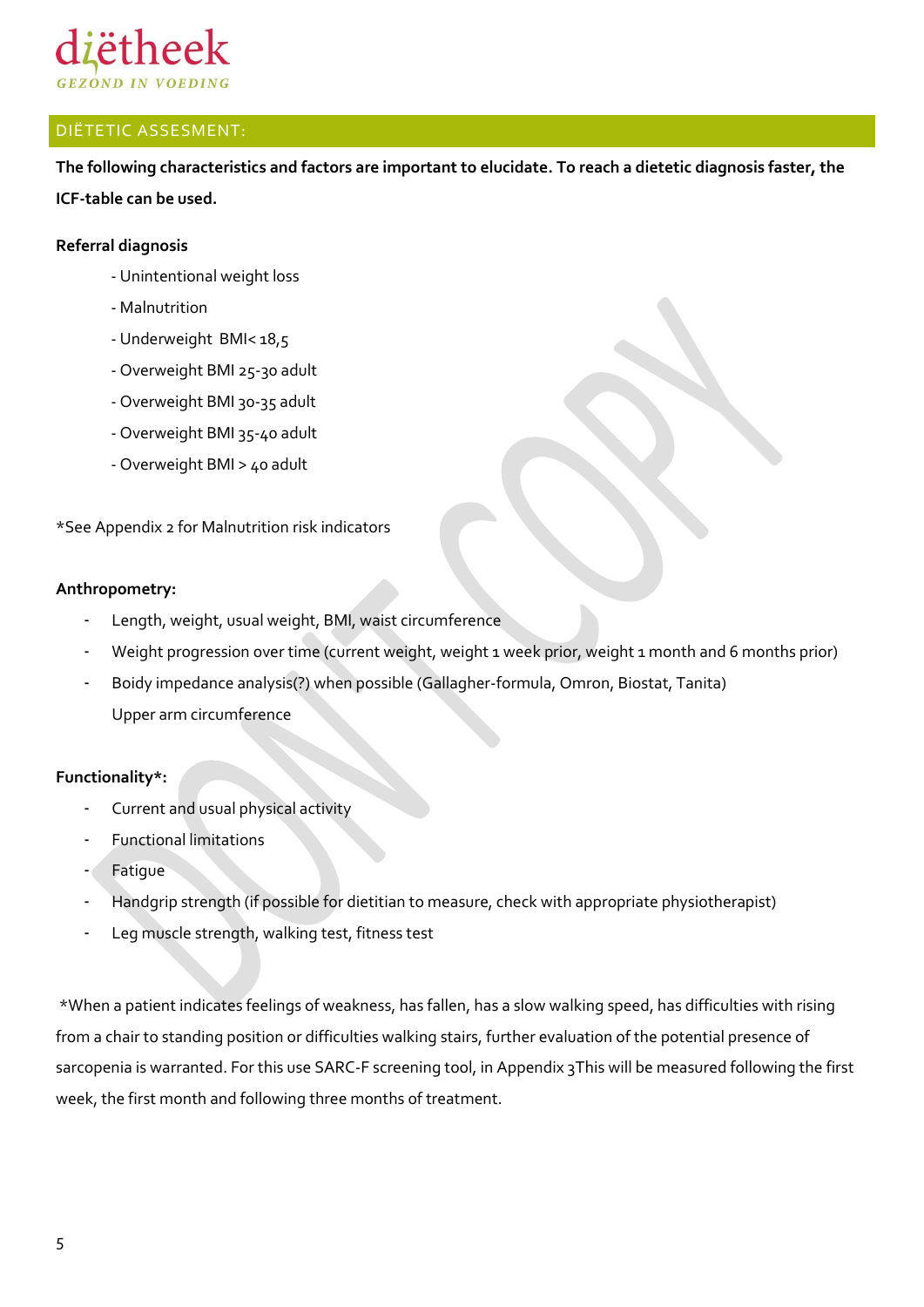

#### <span id="page-4-0"></span>DIËTETIC ASSESMENT:

**The following characteristics and factors are important to elucidate. To reach a dietetic diagnosis faster, the ICF-table can be used.** 

#### **Referral diagnosis**

- Unintentional weight loss
- Malnutrition
- Underweight BMI< 18,5
- Overweight BMI 25-30 adult
- Overweight BMI 30-35 adult
- Overweight BMI 35-40 adult
- Overweight BMI > 40 adult

\*See Appendix 2 for Malnutrition risk indicators

#### **Anthropometry:**

- Length, weight, usual weight, BMI, waist circumference
- Weight progression over time (current weight, weight 1 week prior, weight 1 month and 6 months prior)
- Boidy impedance analysis(?) when possible (Gallagher-formula, Omron, Biostat, Tanita) Upper arm circumference

#### **Functionality\*:**

- Current and usual physical activity
- Functional limitations
- **Fatigue**
- Handgrip strength (if possible for dietitian to measure, check with appropriate physiotherapist)
- Leg muscle strength, walking test, fitness test

\*When a patient indicates feelings of weakness, has fallen, has a slow walking speed, has difficulties with rising from a chair to standing position or difficulties walking stairs, further evaluation of the potential presence of sarcopenia is warranted. For this use SARC-F screening tool, in Appendix 3This will be measured following the first week, the first month and following three months of treatment.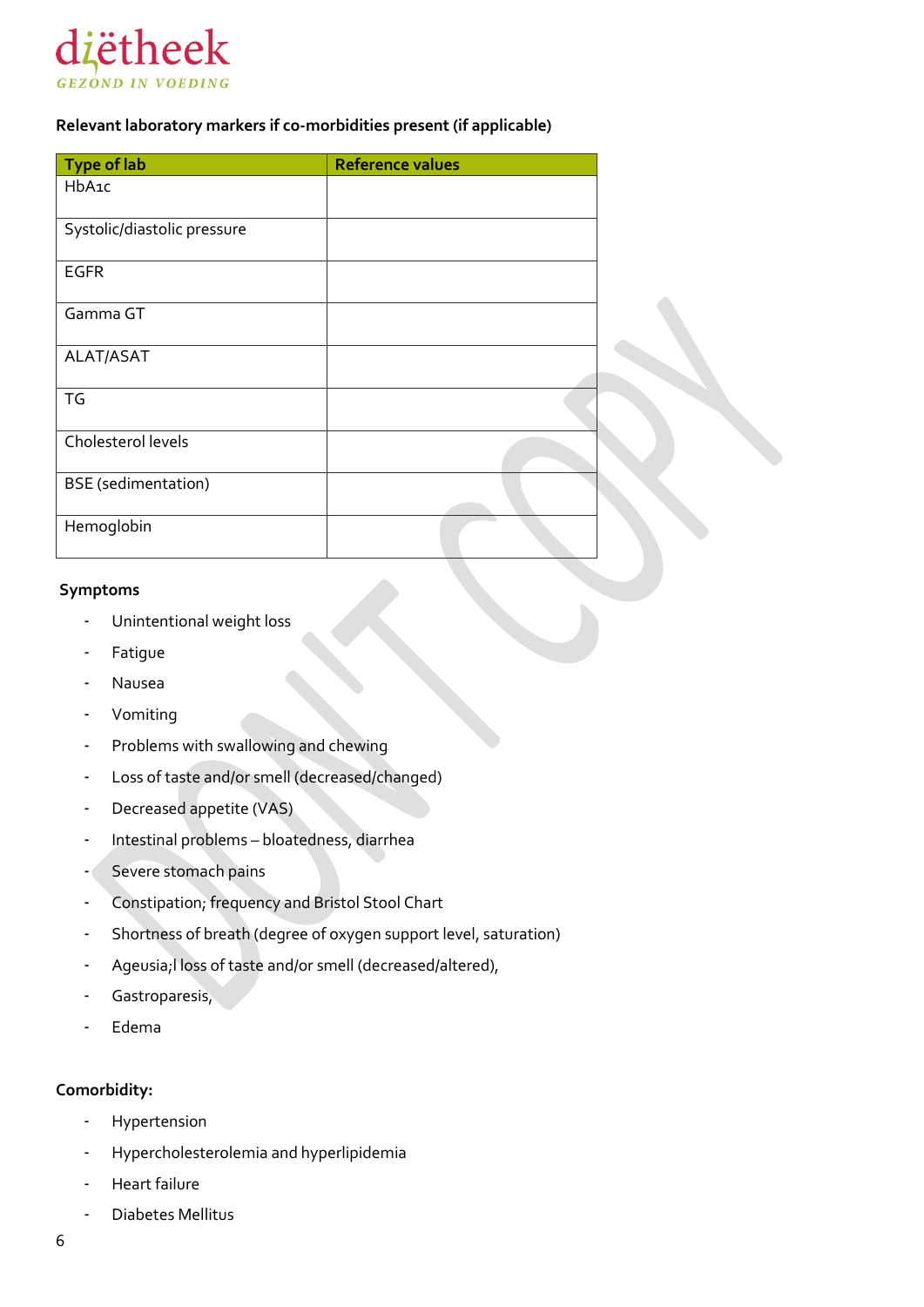

#### **Relevant laboratory markers if co-morbidities present (if applicable)**

| Type of lab                 | <b>Reference values</b> |  |
|-----------------------------|-------------------------|--|
| HbA1c                       |                         |  |
| Systolic/diastolic pressure |                         |  |
| <b>EGFR</b>                 |                         |  |
| Gamma GT                    |                         |  |
| ALAT/ASAT                   |                         |  |
| TG                          |                         |  |
| Cholesterol levels          |                         |  |
| <b>BSE</b> (sedimentation)  |                         |  |
| Hemoglobin                  |                         |  |

#### **Symptoms**

- Unintentional weight loss
- **Fatigue**
- **Nausea**
- Vomiting
- Problems with swallowing and chewing
- Loss of taste and/or smell (decreased/changed)
- Decreased appetite (VAS)
- Intestinal problems bloatedness, diarrhea
- Severe stomach pains
- Constipation; frequency and Bristol Stool Chart
- Shortness of breath (degree of oxygen support level, saturation)
- Ageusia;l loss of taste and/or smell (decreased/altered),
- Gastroparesis,
- Edema

#### **Comorbidity:**

- **Hypertension**
- Hypercholesterolemia and hyperlipidemia
- Heart failure
- Diabetes Mellitus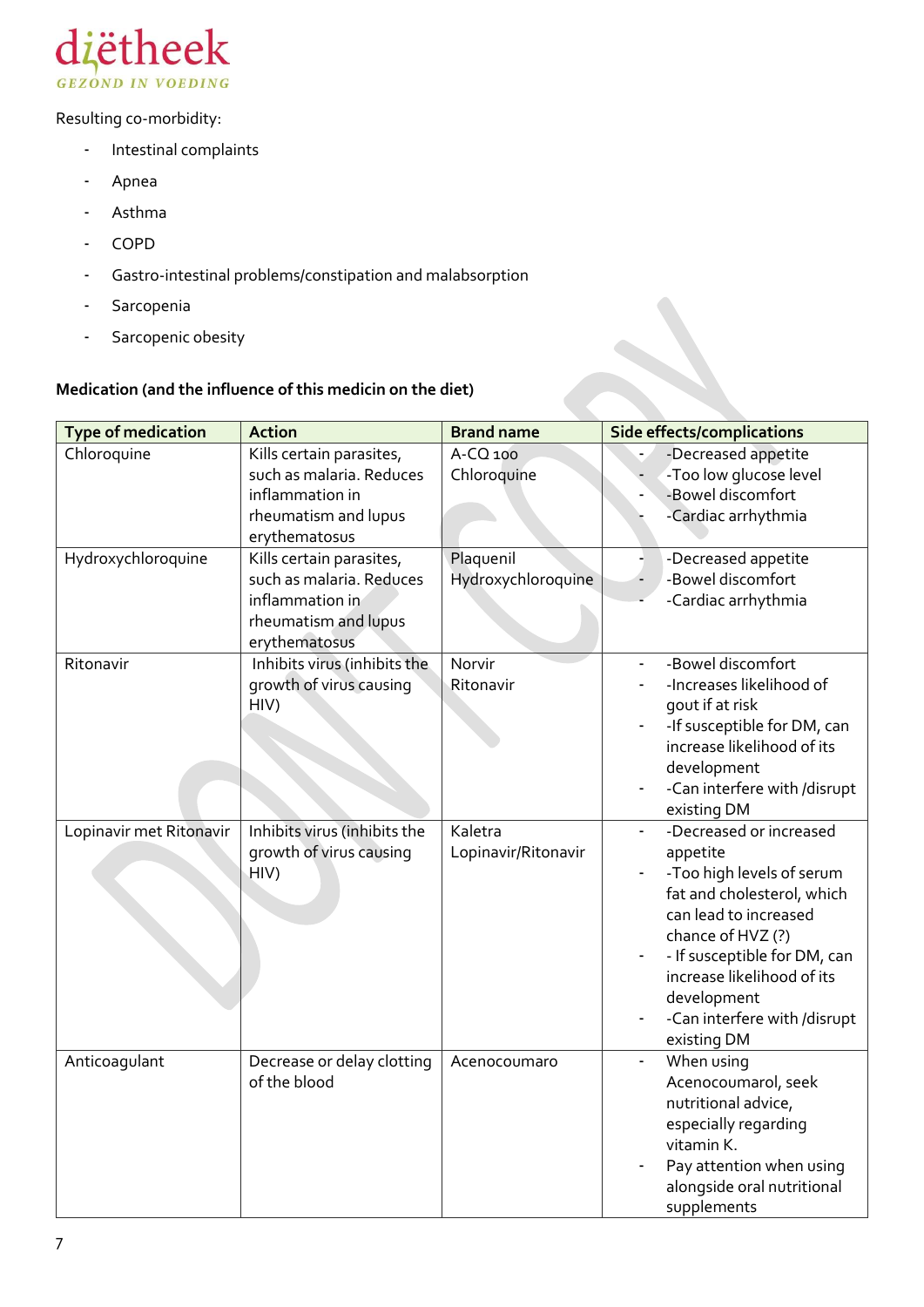

Resulting co-morbidity:

- Intestinal complaints
- Apnea
- Asthma
- COPD
- Gastro-intestinal problems/constipation and malabsorption
- Sarcopenia
- Sarcopenic obesity

### **Medication (and the influence of this medicin on the diet)**

| <b>Type of medication</b> | <b>Action</b>                                                                                                    | <b>Brand name</b>               | <b>Side effects/complications</b>                                                                                                                                                                                                                                        |
|---------------------------|------------------------------------------------------------------------------------------------------------------|---------------------------------|--------------------------------------------------------------------------------------------------------------------------------------------------------------------------------------------------------------------------------------------------------------------------|
| Chloroquine               | Kills certain parasites,<br>such as malaria. Reduces<br>inflammation in<br>rheumatism and lupus<br>erythematosus | A-CQ 100<br>Chloroquine         | -Decreased appetite<br>-Too low glucose level<br>-Bowel discomfort<br>-Cardiac arrhythmia                                                                                                                                                                                |
| Hydroxychloroquine        | Kills certain parasites,<br>such as malaria. Reduces<br>inflammation in<br>rheumatism and lupus<br>erythematosus | Plaquenil<br>Hydroxychloroquine | ٠<br>-Decreased appetite<br>-Bowel discomfort<br>-Cardiac arrhythmia                                                                                                                                                                                                     |
| Ritonavir                 | Inhibits virus (inhibits the<br>growth of virus causing<br>HIV)                                                  | Norvir<br>Ritonavir             | -Bowel discomfort<br>-Increases likelihood of<br>gout if at risk<br>-If susceptible for DM, can<br>increase likelihood of its<br>development<br>-Can interfere with /disrupt<br>existing DM                                                                              |
| Lopinavir met Ritonavir   | Inhibits virus (inhibits the<br>growth of virus causing<br>HIV)                                                  | Kaletra<br>Lopinavir/Ritonavir  | -Decreased or increased<br>appetite<br>-Too high levels of serum<br>fat and cholesterol, which<br>can lead to increased<br>chance of HVZ (?)<br>- If susceptible for DM, can<br>increase likelihood of its<br>development<br>-Can interfere with /disrupt<br>existing DM |
| Anticoagulant             | Decrease or delay clotting<br>of the blood                                                                       | Acenocoumaro                    | When using<br>$\blacksquare$<br>Acenocoumarol, seek<br>nutritional advice,<br>especially regarding<br>vitamin K.<br>Pay attention when using<br>alongside oral nutritional<br>supplements                                                                                |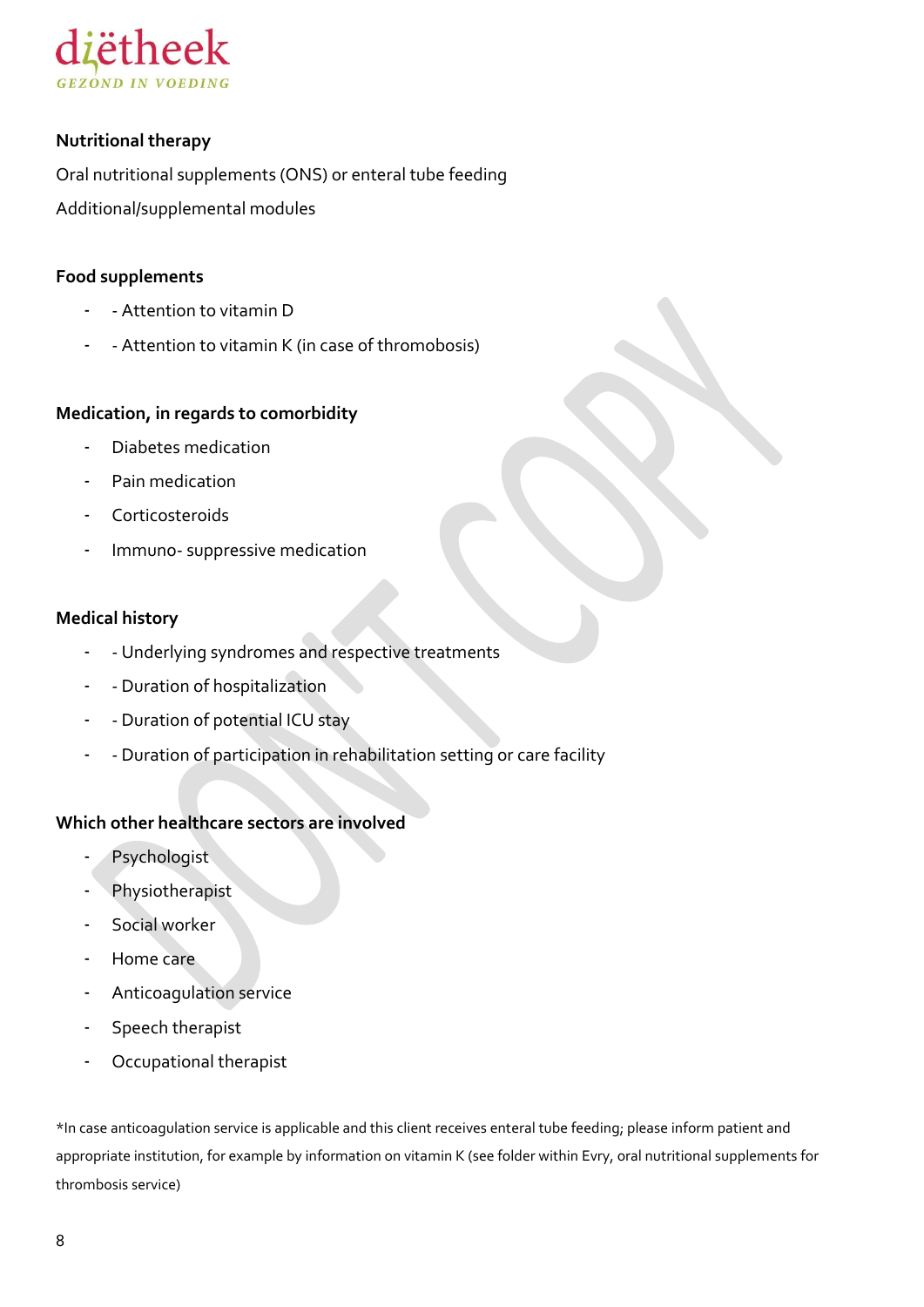

#### **Nutritional therapy**

Oral nutritional supplements (ONS) or enteral tube feeding Additional/supplemental modules

#### **Food supplements**

- - Attention to vitamin D
- Attention to vitamin K (in case of thromobosis)

#### **Medication, in regards to comorbidity**

- Diabetes medication
- Pain medication
- Corticosteroids
- Immuno- suppressive medication

#### **Medical history**

- Underlying syndromes and respective treatments
- Duration of hospitalization
- - Duration of potential ICU stay
- - Duration of participation in rehabilitation setting or care facility

#### **Which other healthcare sectors are involved**

- Psychologist
- Physiotherapist
- Social worker
- Home care
- Anticoagulation service
- Speech therapist
- Occupational therapist

\*In case anticoagulation service is applicable and this client receives enteral tube feeding; please inform patient and appropriate institution, for example by information on vitamin K (see folder within Evry, oral nutritional supplements for thrombosis service)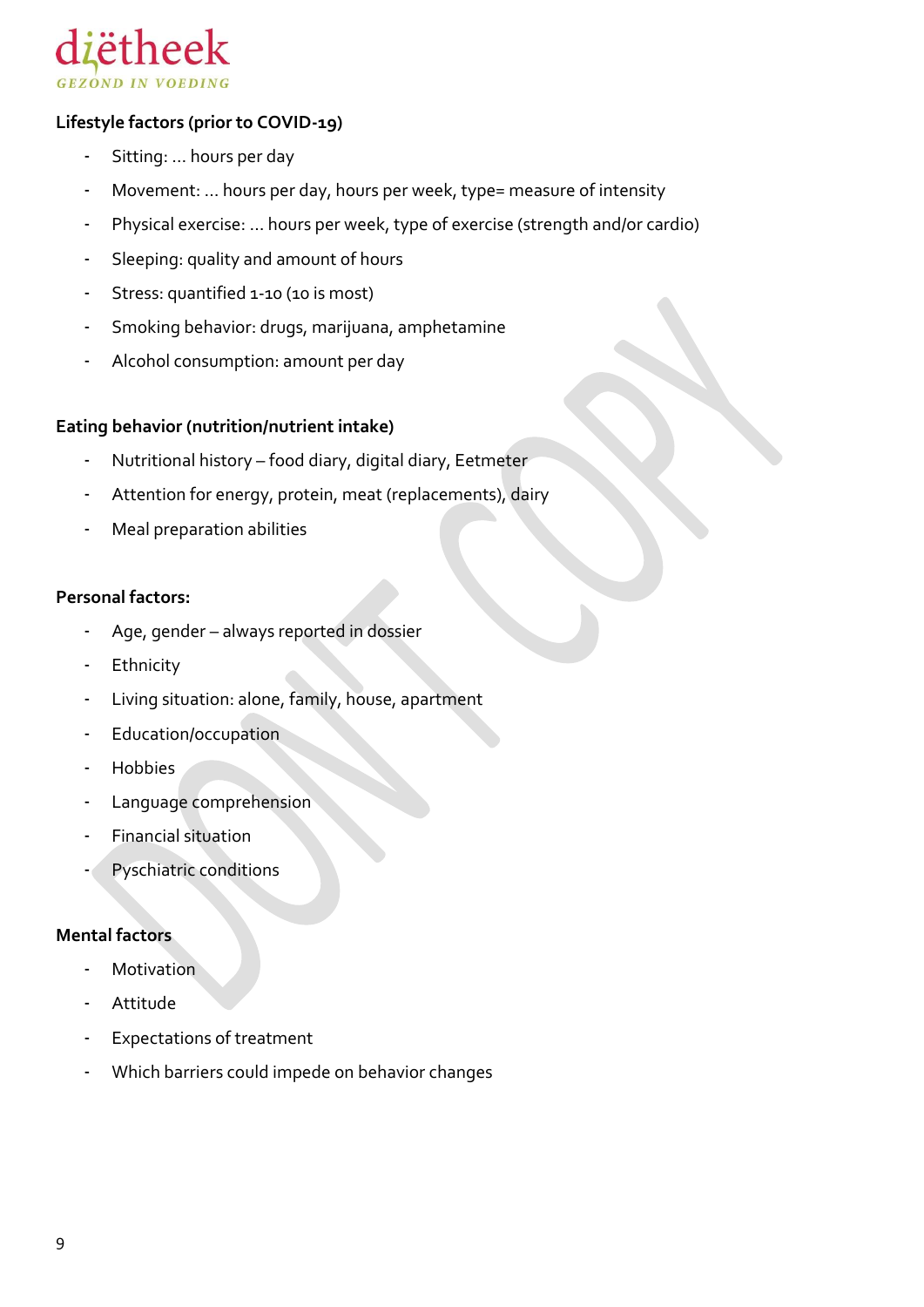

#### **Lifestyle factors (prior to COVID-19)**

- Sitting: ... hours per day
- Movement: ... hours per day, hours per week, type= measure of intensity
- Physical exercise: ... hours per week, type of exercise (strength and/or cardio)
- Sleeping: quality and amount of hours
- Stress: quantified 1-10 (10 is most)
- Smoking behavior: drugs, marijuana, amphetamine
- Alcohol consumption: amount per day

#### **Eating behavior (nutrition/nutrient intake)**

- Nutritional history food diary, digital diary, Eetmeter
- Attention for energy, protein, meat (replacements), dairy
- Meal preparation abilities

#### **Personal factors:**

- Age, gender always reported in dossier
- **Ethnicity**
- Living situation: alone, family, house, apartment
- Education/occupation
- Hobbies
- Language comprehension
- Financial situation
- Pyschiatric conditions

#### **Mental factors**

- Motivation
- **Attitude**
- Expectations of treatment
- Which barriers could impede on behavior changes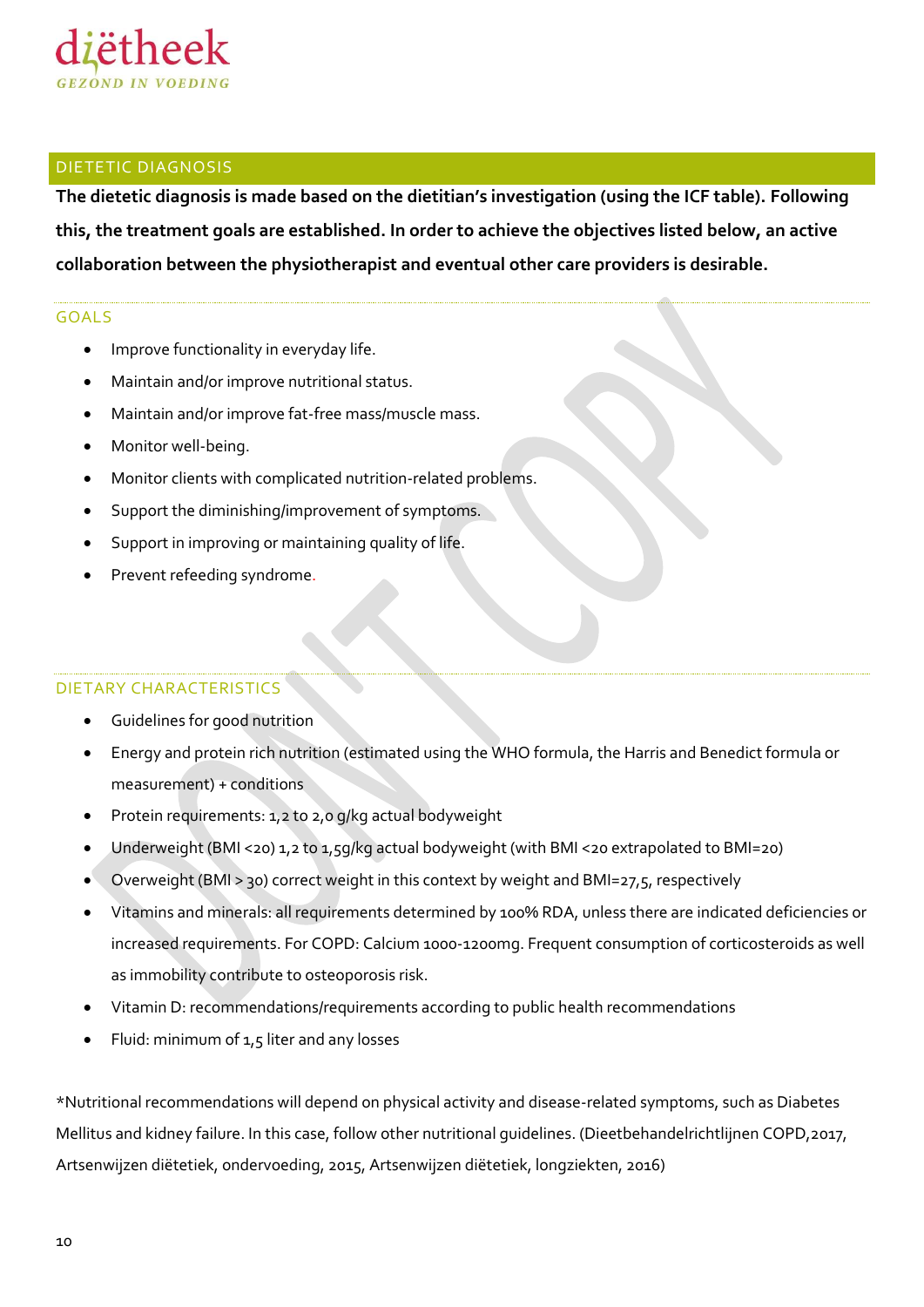

#### <span id="page-9-0"></span>DIETETIC DIAGNOSIS

**The dietetic diagnosis is made based on the dietitian's investigation (using the ICF table). Following this, the treatment goals are established. In order to achieve the objectives listed below, an active collaboration between the physiotherapist and eventual other care providers is desirable.**

#### GOALS

- Improve functionality in everyday life.
- Maintain and/or improve nutritional status.
- Maintain and/or improve fat-free mass/muscle mass.
- Monitor well-being.
- Monitor clients with complicated nutrition-related problems.
- Support the diminishing/improvement of symptoms.
- Support in improving or maintaining quality of life.
- Prevent refeeding syndrome.

#### DIETARY CHARACTERISTICS

- Guidelines for good nutrition
- Energy and protein rich nutrition (estimated using the WHO formula, the Harris and Benedict formula or measurement) + conditions
- Protein requirements: 1,2 to 2,0 g/kg actual bodyweight
- Underweight (BMI <20) 1,2 to 1,5g/kg actual bodyweight (with BMI <20 extrapolated to BMI=20)
- Overweight (BMI > 30) correct weight in this context by weight and BMI=27,5, respectively
- Vitamins and minerals: all requirements determined by 100% RDA, unless there are indicated deficiencies or increased requirements. For COPD: Calcium 1000-1200mg. Frequent consumption of corticosteroids as well as immobility contribute to osteoporosis risk.
- Vitamin D: recommendations/requirements according to public health recommendations
- $\bullet$  Fluid: minimum of 1,5 liter and any losses

\*Nutritional recommendations will depend on physical activity and disease-related symptoms, such as Diabetes Mellitus and kidney failure. In this case, follow other nutritional guidelines. (Dieetbehandelrichtlijnen COPD,2017, Artsenwijzen diëtetiek, ondervoeding, 2015, Artsenwijzen diëtetiek, longziekten, 2016)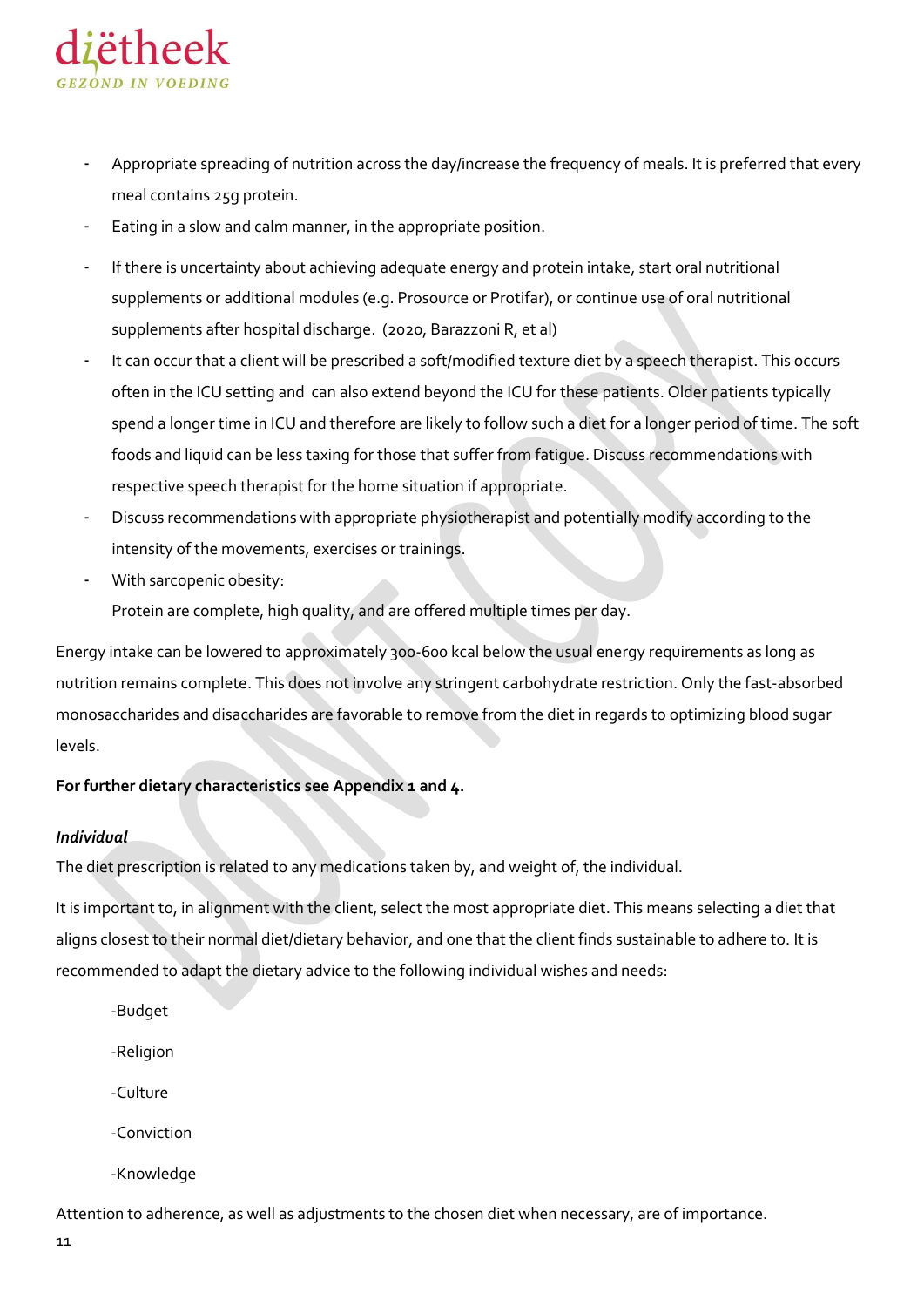

- Appropriate spreading of nutrition across the day/increase the frequency of meals. It is preferred that every meal contains 25g protein.
- Eating in a slow and calm manner, in the appropriate position.
- If there is uncertainty about achieving adequate energy and protein intake, start oral nutritional supplements or additional modules (e.g. Prosource or Protifar), or continue use of oral nutritional supplements after hospital discharge. (2020, Barazzoni R, et al)
- It can occur that a client will be prescribed a soft/modified texture diet by a speech therapist. This occurs often in the ICU setting and can also extend beyond the ICU for these patients. Older patients typically spend a longer time in ICU and therefore are likely to follow such a diet for a longer period of time. The soft foods and liquid can be less taxing for those that suffer from fatigue. Discuss recommendations with respective speech therapist for the home situation if appropriate.
- Discuss recommendations with appropriate physiotherapist and potentially modify according to the intensity of the movements, exercises or trainings.
- With sarcopenic obesity:

Protein are complete, high quality, and are offered multiple times per day.

Energy intake can be lowered to approximately 300-600 kcal below the usual energy requirements as long as nutrition remains complete. This does not involve any stringent carbohydrate restriction. Only the fast-absorbed monosaccharides and disaccharides are favorable to remove from the diet in regards to optimizing blood sugar levels.

#### **For further dietary characteristics see Appendix 1 and 4.**

#### *Individual*

The diet prescription is related to any medications taken by, and weight of, the individual.

It is important to, in alignment with the client, select the most appropriate diet. This means selecting a diet that aligns closest to their normal diet/dietary behavior, and one that the client finds sustainable to adhere to. It is recommended to adapt the dietary advice to the following individual wishes and needs:

- -Budget
- -Religion
- -Culture
- -Conviction
- -Knowledge

Attention to adherence, as well as adjustments to the chosen diet when necessary, are of importance.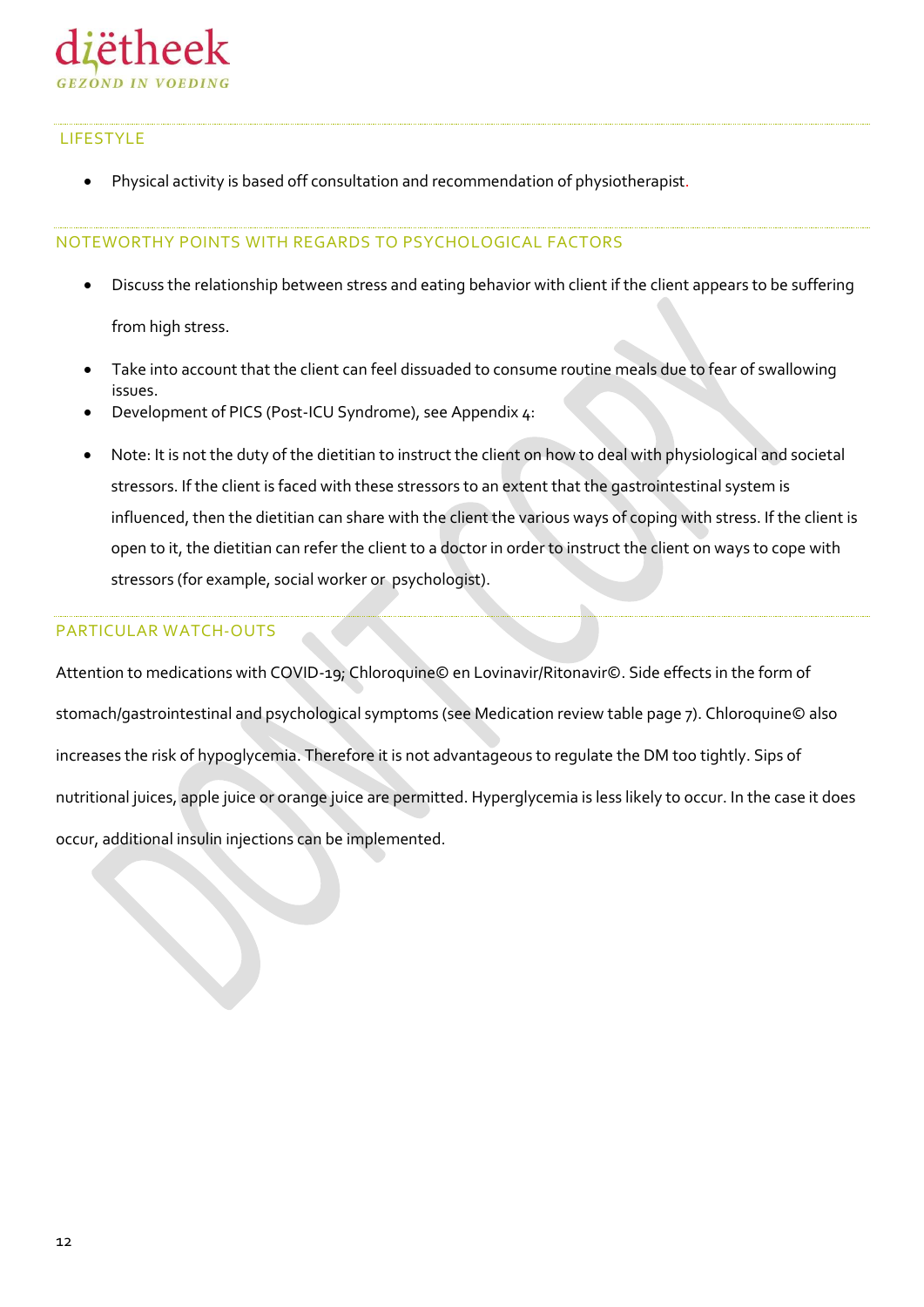

#### LIFESTYLE

Physical activity is based off consultation and recommendation of physiotherapist.

#### NOTEWORTHY POINTS WITH REGARDS TO PSYCHOLOGICAL FACTORS

- Discuss the relationship between stress and eating behavior with client if the client appears to be suffering from high stress.
- Take into account that the client can feel dissuaded to consume routine meals due to fear of swallowing issues.
- Development of PICS (Post-ICU Syndrome), see Appendix 4:
- Note: It is not the duty of the dietitian to instruct the client on how to deal with physiological and societal stressors. If the client is faced with these stressors to an extent that the gastrointestinal system is influenced, then the dietitian can share with the client the various ways of coping with stress. If the client is open to it, the dietitian can refer the client to a doctor in order to instruct the client on ways to cope with stressors (for example, social worker or psychologist).

#### PARTICULAR WATCH-OUTS

Attention to medications with COVID-19; Chloroquine© en Lovinavir/Ritonavir©. Side effects in the form of stomach/gastrointestinal and psychological symptoms (see Medication review table page 7). Chloroquine© also increases the risk of hypoglycemia. Therefore it is not advantageous to regulate the DM too tightly. Sips of nutritional juices, apple juice or orange juice are permitted. Hyperglycemia is less likely to occur. In the case it does occur, additional insulin injections can be implemented.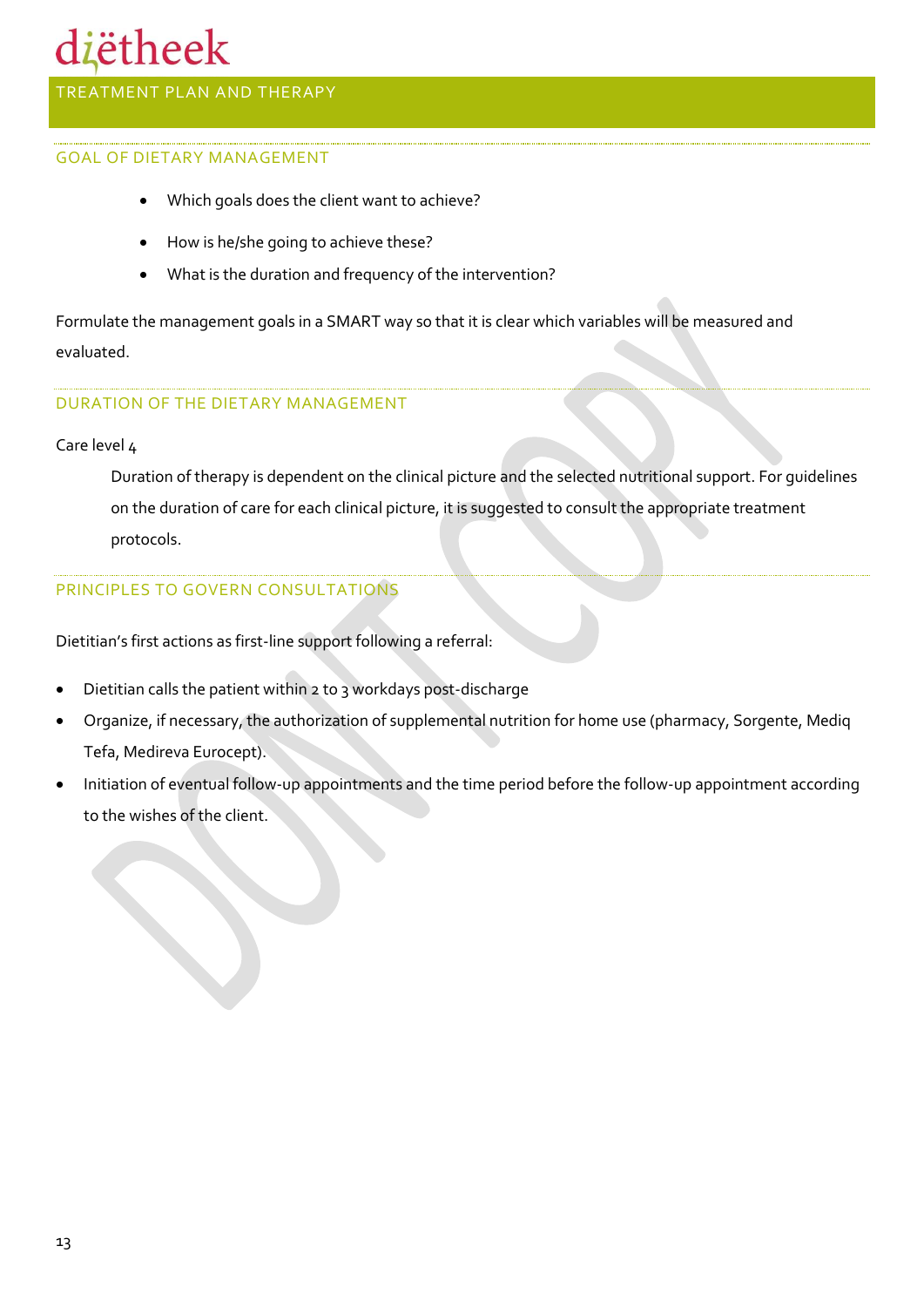### diëtheek

#### <span id="page-12-0"></span>TREATMENT PLAN AND THERAPY

#### GOAL OF DIETARY MANAGEMENT

- Which goals does the client want to achieve?
- How is he/she going to achieve these?
- What is the duration and frequency of the intervention?

Formulate the management goals in a SMART way so that it is clear which variables will be measured and evaluated.

#### DURATION OF THE DIETARY MANAGEMENT

#### Care level 4

Duration of therapy is dependent on the clinical picture and the selected nutritional support. For guidelines on the duration of care for each clinical picture, it is suggested to consult the appropriate treatment protocols.

#### PRINCIPLES TO GOVERN CONSULTATIONS

Dietitian's first actions as first-line support following a referral:

- Dietitian calls the patient within 2 to 3 workdays post-discharge
- Organize, if necessary, the authorization of supplemental nutrition for home use (pharmacy, Sorgente, Mediq Tefa, Medireva Eurocept).
- Initiation of eventual follow-up appointments and the time period before the follow-up appointment according to the wishes of the client.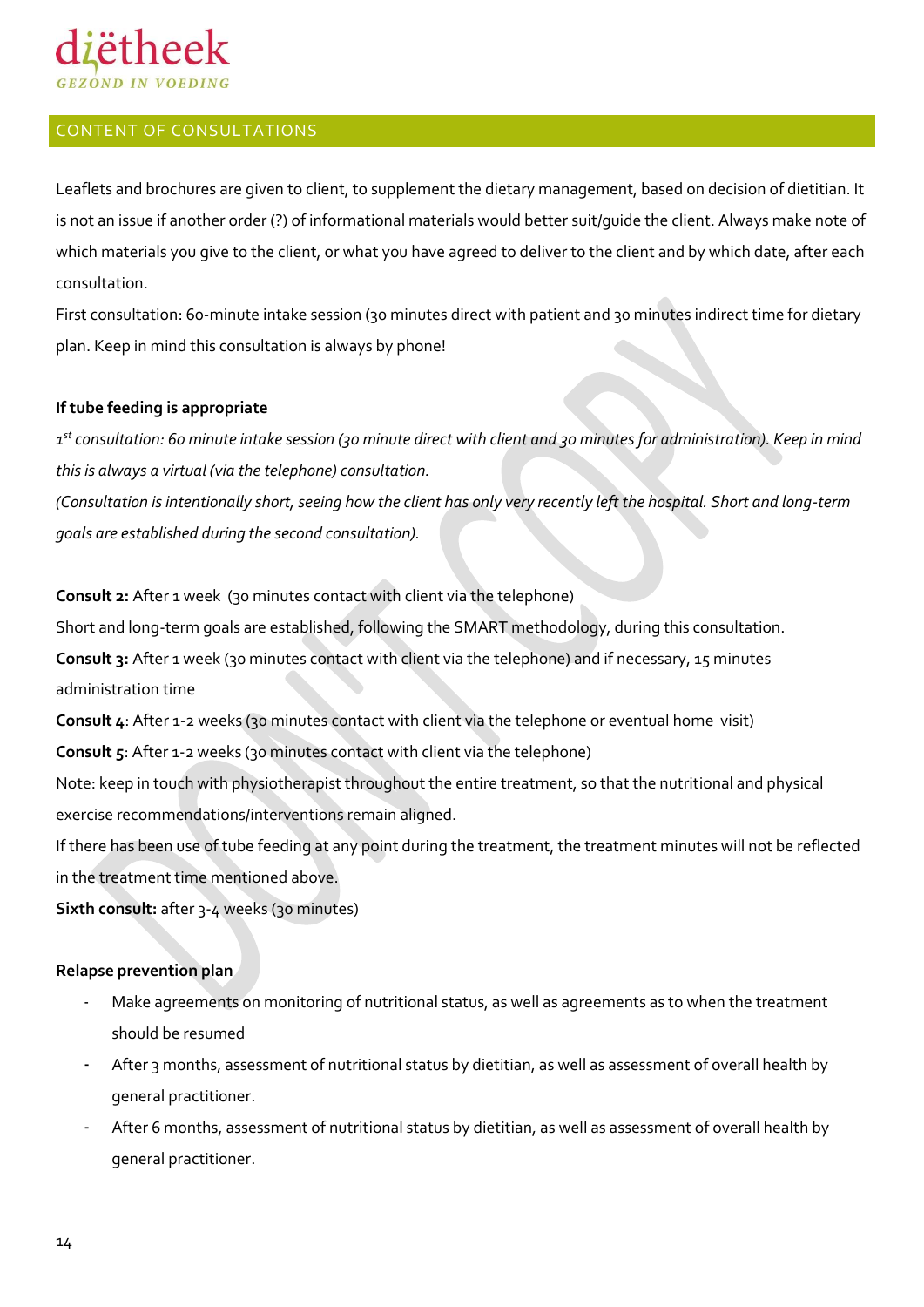## ëthee

#### <span id="page-13-0"></span>CONTENT OF CONSULTATIONS

Leaflets and brochures are given to client, to supplement the dietary management, based on decision of dietitian. It is not an issue if another order (?) of informational materials would better suit/guide the client. Always make note of which materials you give to the client, or what you have agreed to deliver to the client and by which date, after each consultation.

First consultation: 60-minute intake session (30 minutes direct with patient and 30 minutes indirect time for dietary plan. Keep in mind this consultation is always by phone!

#### **If tube feeding is appropriate**

*1 st consultation: 60 minute intake session (30 minute direct with client and 30 minutes for administration). Keep in mind this is always a virtual (via the telephone) consultation.* 

*(Consultation is intentionally short, seeing how the client has only very recently left the hospital. Short and long-term goals are established during the second consultation).* 

**Consult 2:** After 1 week (30 minutes contact with client via the telephone)

Short and long-term goals are established, following the SMART methodology, during this consultation.

**Consult 3:** After 1 week (30 minutes contact with client via the telephone) and if necessary, 15 minutes administration time

**Consult 4**: After 1-2 weeks (30 minutes contact with client via the telephone or eventual home visit)

**Consult 5:** After 1-2 weeks (30 minutes contact with client via the telephone)

Note: keep in touch with physiotherapist throughout the entire treatment, so that the nutritional and physical exercise recommendations/interventions remain aligned.

If there has been use of tube feeding at any point during the treatment, the treatment minutes will not be reflected in the treatment time mentioned above.

**Sixth consult:** after 3-4 weeks (30 minutes)

#### **Relapse prevention plan**

- Make agreements on monitoring of nutritional status, as well as agreements as to when the treatment should be resumed
- After 3 months, assessment of nutritional status by dietitian, as well as assessment of overall health by general practitioner.
- After 6 months, assessment of nutritional status by dietitian, as well as assessment of overall health by general practitioner.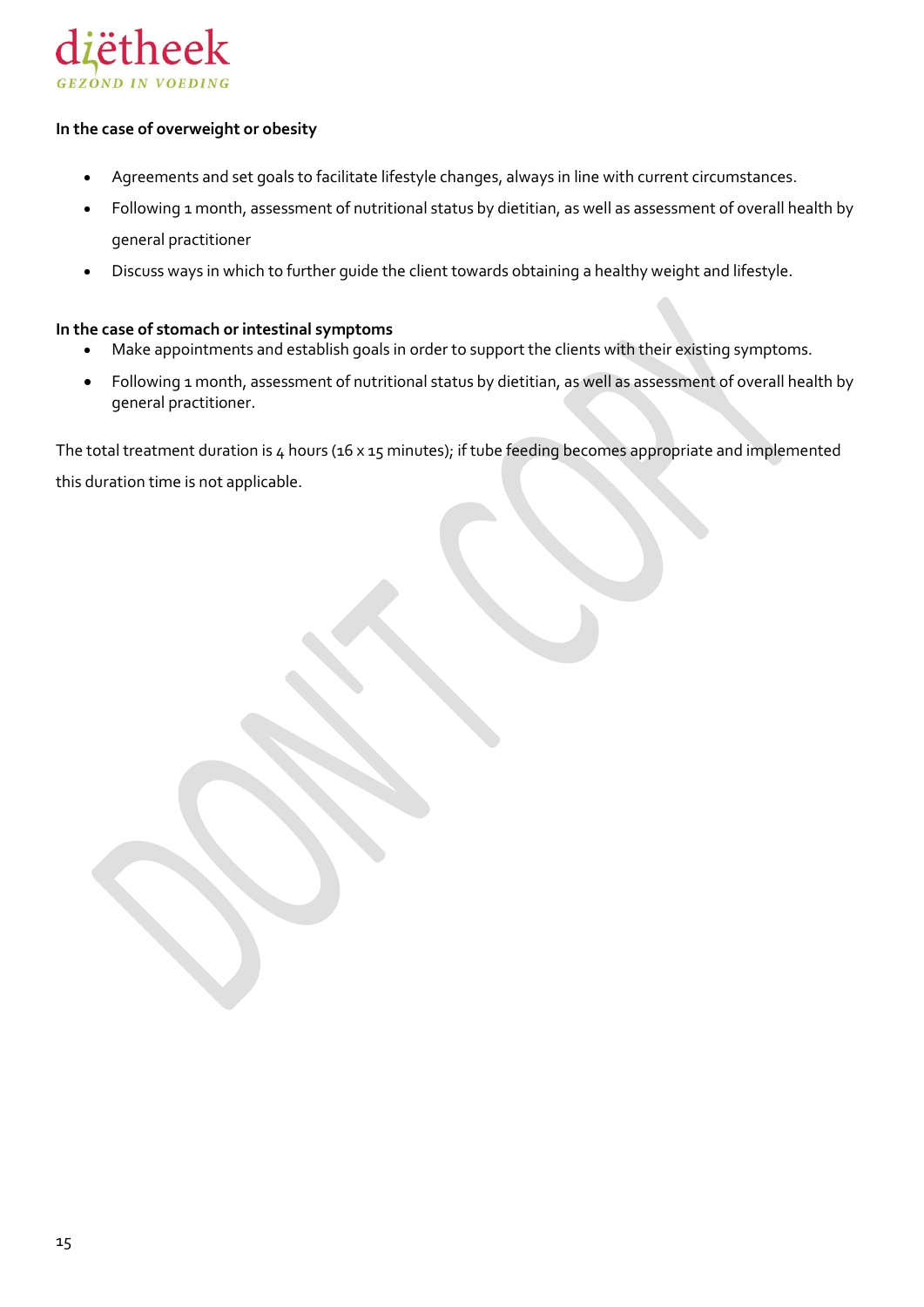

#### **In the case of overweight or obesity**

- Agreements and set goals to facilitate lifestyle changes, always in line with current circumstances.
- Following 1 month, assessment of nutritional status by dietitian, as well as assessment of overall health by general practitioner
- Discuss ways in which to further guide the client towards obtaining a healthy weight and lifestyle.

#### **In the case of stomach or intestinal symptoms**

- Make appointments and establish goals in order to support the clients with their existing symptoms.
- Following 1 month, assessment of nutritional status by dietitian, as well as assessment of overall health by general practitioner.

The total treatment duration is 4 hours (16 x 15 minutes); if tube feeding becomes appropriate and implemented this duration time is not applicable.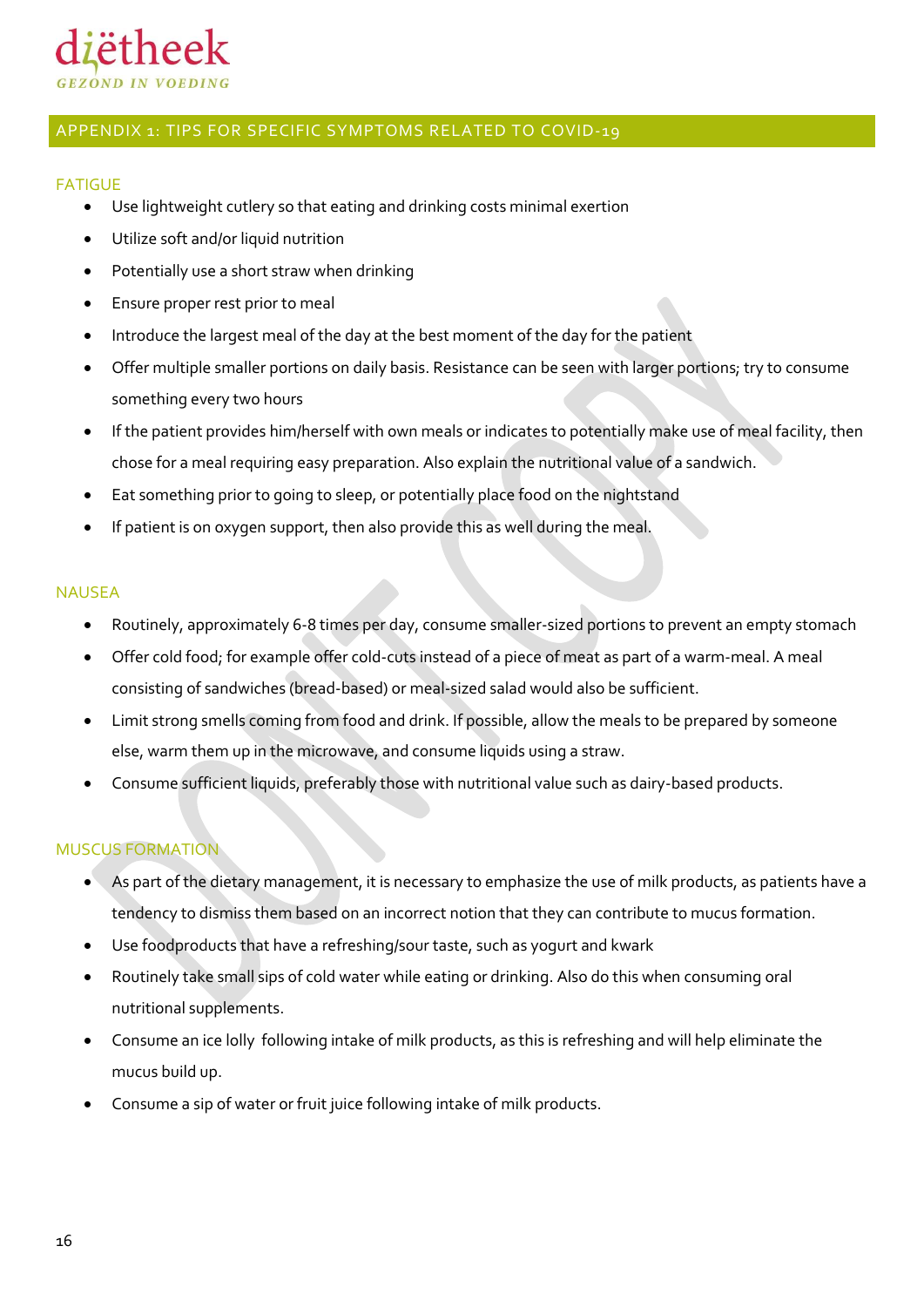

#### <span id="page-15-0"></span>APPENDIX 1: TIPS FOR SPECIFIC SYMPTOMS RELATED TO COVID-19

#### <span id="page-15-1"></span>FATIGUE

- Use lightweight cutlery so that eating and drinking costs minimal exertion
- Utilize soft and/or liquid nutrition
- Potentially use a short straw when drinking
- Ensure proper rest prior to meal
- Introduce the largest meal of the day at the best moment of the day for the patient
- Offer multiple smaller portions on daily basis. Resistance can be seen with larger portions; try to consume something every two hours
- If the patient provides him/herself with own meals or indicates to potentially make use of meal facility, then chose for a meal requiring easy preparation. Also explain the nutritional value of a sandwich.
- Eat something prior to going to sleep, or potentially place food on the nightstand
- If patient is on oxygen support, then also provide this as well during the meal.

#### <span id="page-15-2"></span>NAUSEA

- Routinely, approximately 6-8 times per day, consume smaller-sized portions to prevent an empty stomach
- Offer cold food; for example offer cold-cuts instead of a piece of meat as part of a warm-meal. A meal consisting of sandwiches (bread-based) or meal-sized salad would also be sufficient.
- Limit strong smells coming from food and drink. If possible, allow the meals to be prepared by someone else, warm them up in the microwave, and consume liquids using a straw.
- Consume sufficient liquids, preferably those with nutritional value such as dairy-based products.

#### <span id="page-15-3"></span>MUSCUS FORMATION

- As part of the dietary management, it is necessary to emphasize the use of milk products, as patients have a tendency to dismiss them based on an incorrect notion that they can contribute to mucus formation.
- Use foodproducts that have a refreshing/sour taste, such as yogurt and kwark
- Routinely take small sips of cold water while eating or drinking. Also do this when consuming oral nutritional supplements.
- Consume an ice lolly following intake of milk products, as this is refreshing and will help eliminate the mucus build up.
- Consume a sip of water or fruit juice following intake of milk products.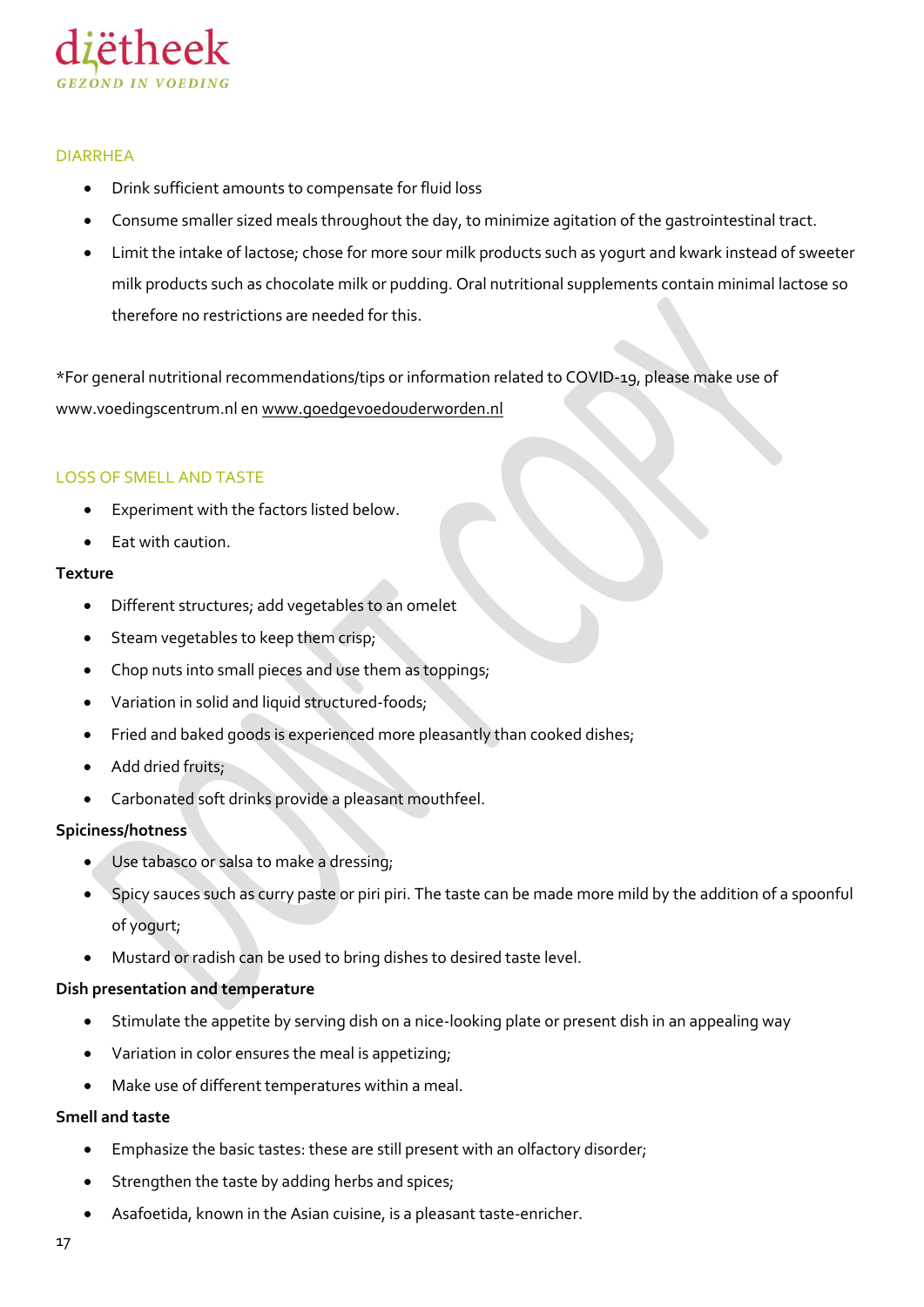

#### <span id="page-16-0"></span>DIARRHEA

- Drink sufficient amounts to compensate for fluid loss
- Consume smaller sized meals throughout the day, to minimize agitation of the gastrointestinal tract.
- Limit the intake of lactose; chose for more sour milk products such as yogurt and kwark instead of sweeter milk products such as chocolate milk or pudding. Oral nutritional supplements contain minimal lactose so therefore no restrictions are needed for this.

\*For general nutritional recommendations/tips or information related to COVID-19, please make use of www.voedingscentrum.nl e[n www.goedgevoedouderworden.nl](http://www.goedgevoedouderworden.nl/)

#### <span id="page-16-1"></span>LOSS OF SMELL AND TASTE

- Experiment with the factors listed below.
- Eat with caution.

#### **Texture**

- Different structures; add vegetables to an omelet
- Steam vegetables to keep them crisp;
- Chop nuts into small pieces and use them as toppings;
- Variation in solid and liquid structured-foods;
- Fried and baked goods is experienced more pleasantly than cooked dishes;
- Add dried fruits;
- Carbonated soft drinks provide a pleasant mouthfeel.

#### **Spiciness/hotness**

- Use tabasco or salsa to make a dressing;
- Spicy sauces such as curry paste or piri piri. The taste can be made more mild by the addition of a spoonful of yogurt;
- Mustard or radish can be used to bring dishes to desired taste level.

#### **Dish presentation and temperature**

- Stimulate the appetite by serving dish on a nice-looking plate or present dish in an appealing way
- Variation in color ensures the meal is appetizing;
- Make use of different temperatures within a meal.

#### **Smell and taste**

- Emphasize the basic tastes: these are still present with an olfactory disorder;
- Strengthen the taste by adding herbs and spices;
- Asafoetida, known in the Asian cuisine, is a pleasant taste-enricher.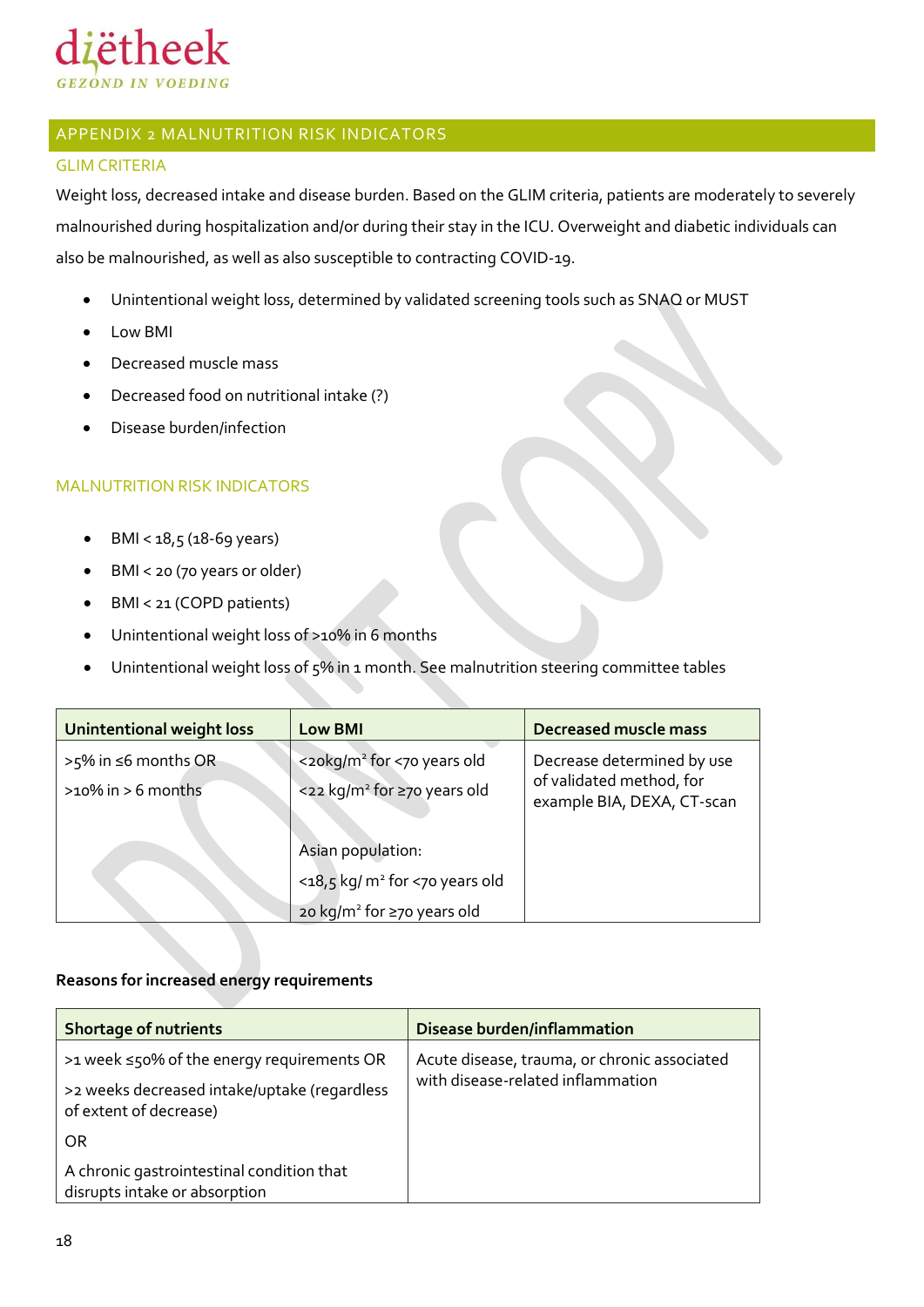

### <span id="page-17-0"></span>APPENDIX 2 MALNUTRITION RISK INDICATORS

#### <span id="page-17-1"></span>GLIM CRITERIA

Weight loss, decreased intake and disease burden. Based on the GLIM criteria, patients are moderately to severely malnourished during hospitalization and/or during their stay in the ICU. Overweight and diabetic individuals can also be malnourished, as well as also susceptible to contracting COVID-19.

- Unintentional weight loss, determined by validated screening tools such as SNAQ or MUST
- Low BMI
- Decreased muscle mass
- Decreased food on nutritional intake (?)
- Disease burden/infection

#### <span id="page-17-2"></span>MALNUTRITION RISK INDICATORS

- $\bullet$  BMI < 18,5 (18-69 years)
- BMI < 20 (70 years or older)
- BMI < 21 (COPD patients)
- Unintentional weight loss of >10% in 6 months
- Unintentional weight loss of 5% in 1 month. See malnutrition steering committee tables

| <b>Unintentional weight loss</b>               | <b>Low BMI</b>                                                                    | <b>Decreased muscle mass</b>                                                         |
|------------------------------------------------|-----------------------------------------------------------------------------------|--------------------------------------------------------------------------------------|
| >5% in ≤6 months OR<br>$>10\%$ in $> 6$ months | <20kg/m <sup>2</sup> for <70 years old<br><22 kg/m <sup>2</sup> for ≥70 years old | Decrease determined by use<br>of validated method, for<br>example BIA, DEXA, CT-scan |
|                                                | Asian population:                                                                 |                                                                                      |
|                                                | <18,5 kg/ m <sup>2</sup> for <70 years old                                        |                                                                                      |
|                                                | 20 kg/m <sup>2</sup> for ≥70 years old                                            |                                                                                      |

#### **Reasons for increased energy requirements**

| <b>Shortage of nutrients</b>                                               | <b>Disease burden/inflammation</b>           |
|----------------------------------------------------------------------------|----------------------------------------------|
| >1 week ≤50% of the energy requirements OR                                 | Acute disease, trauma, or chronic associated |
| >2 weeks decreased intake/uptake (regardless<br>of extent of decrease)     | with disease-related inflammation            |
| OR.                                                                        |                                              |
| A chronic gastrointestinal condition that<br>disrupts intake or absorption |                                              |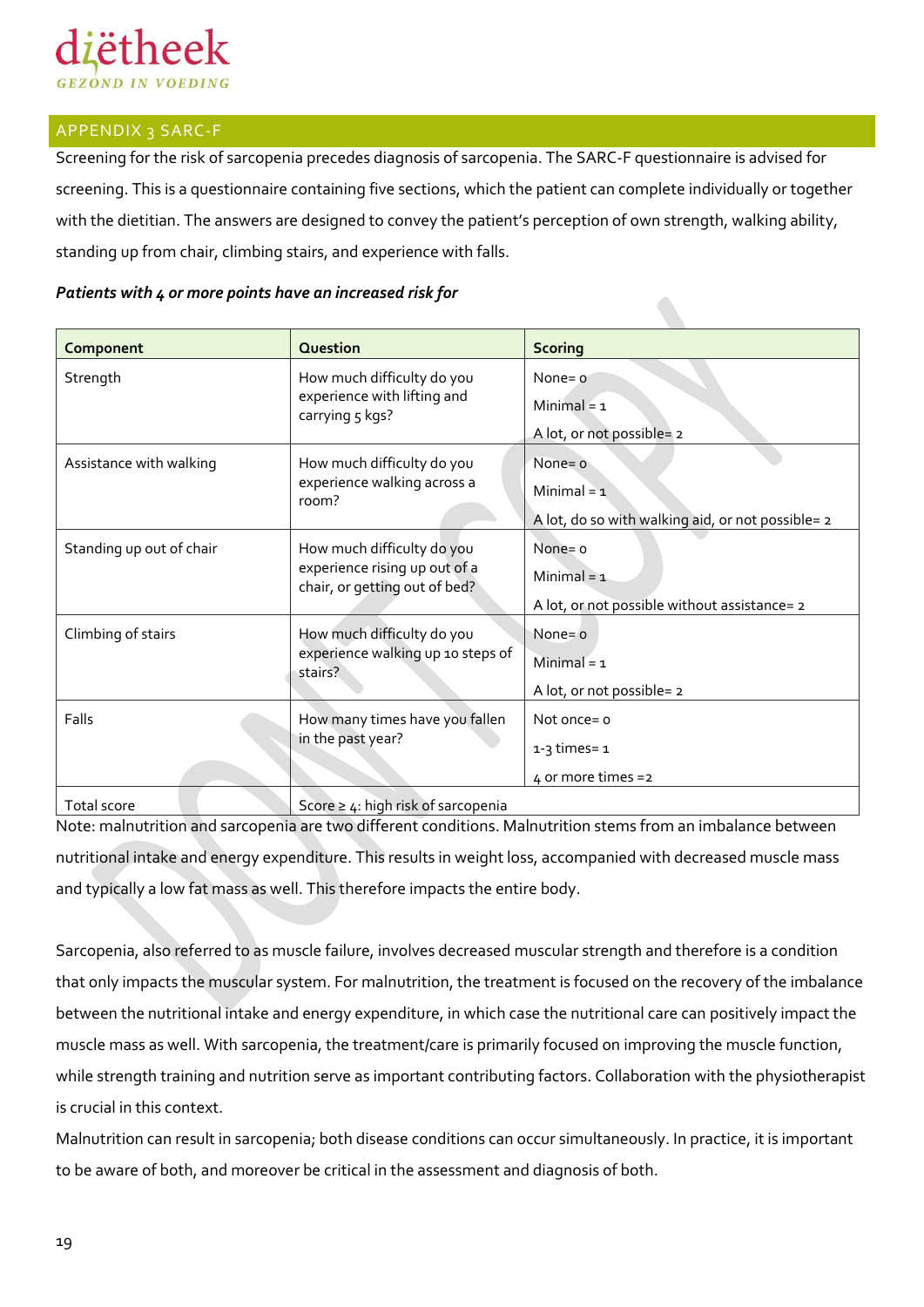

#### <span id="page-18-0"></span>APPENDIX 3 SARC-F

Screening for the risk of sarcopenia precedes diagnosis of sarcopenia. The SARC-F questionnaire is advised for screening. This is a questionnaire containing five sections, which the patient can complete individually or together with the dietitian. The answers are designed to convey the patient's perception of own strength, walking ability, standing up from chair, climbing stairs, and experience with falls.

#### *Patients with 4 or more points have an increased risk for*

| Component                | Question                                                                                     | <b>Scoring</b>                                                                   |
|--------------------------|----------------------------------------------------------------------------------------------|----------------------------------------------------------------------------------|
| Strength                 | How much difficulty do you<br>experience with lifting and<br>carrying 5 kgs?                 | None = $\alpha$<br>Minimal = $1$<br>A lot, or not possible= 2                    |
| Assistance with walking  | How much difficulty do you<br>experience walking across a<br>room?                           | None = $o$<br>Minimal = $1$<br>A lot, do so with walking aid, or not possible= 2 |
| Standing up out of chair | How much difficulty do you<br>experience rising up out of a<br>chair, or getting out of bed? | None $=$ o<br>Minimal = $1$<br>A lot, or not possible without assistance= 2      |
| Climbing of stairs       | How much difficulty do you<br>experience walking up 10 steps of<br>stairs?                   | None = $o$<br>Minimal = $1$<br>A lot, or not possible= 2                         |
| Falls                    | How many times have you fallen<br>in the past year?                                          | Not once = $o$<br>$1-3$ times = $1$<br>4 or more times =2                        |
| $T_{\alpha+1}$ conta     | $Cosce > t$ bigh rick of coroonania                                                          |                                                                                  |

 $\binom{1}{1}$  Score ≥ 4: high risk of sarcopenia Note: malnutrition and sarcopenia are two different conditions. Malnutrition stems from an imbalance between nutritional intake and energy expenditure. This results in weight loss, accompanied with decreased muscle mass

and typically a low fat mass as well. This therefore impacts the entire body.

Sarcopenia, also referred to as muscle failure, involves decreased muscular strength and therefore is a condition that only impacts the muscular system. For malnutrition, the treatment is focused on the recovery of the imbalance between the nutritional intake and energy expenditure, in which case the nutritional care can positively impact the muscle mass as well. With sarcopenia, the treatment/care is primarily focused on improving the muscle function, while strength training and nutrition serve as important contributing factors. Collaboration with the physiotherapist is crucial in this context.

Malnutrition can result in sarcopenia; both disease conditions can occur simultaneously. In practice, it is important to be aware of both, and moreover be critical in the assessment and diagnosis of both.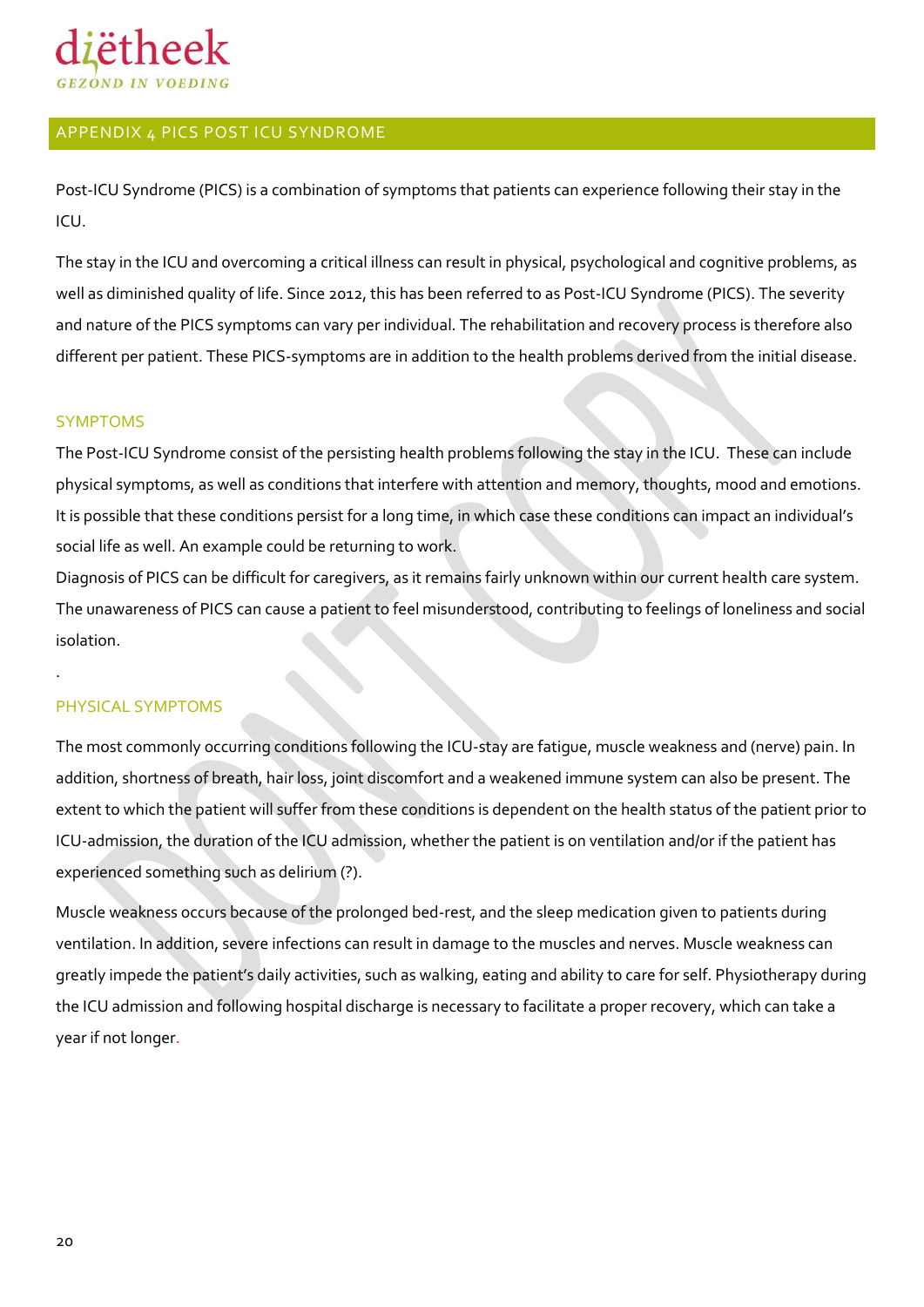

#### <span id="page-19-0"></span>APPENDIX 4 PICS POST ICU SYNDROME

Post-ICU Syndrome (PICS) is a combination of symptoms that patients can experience following their stay in the ICU.

The stay in the ICU and overcoming a critical illness can result in physical, psychological and cognitive problems, as well as diminished quality of life. Since 2012, this has been referred to as Post-ICU Syndrome (PICS). The severity and nature of the PICS symptoms can vary per individual. The rehabilitation and recovery process is therefore also different per patient. These PICS-symptoms are in addition to the health problems derived from the initial disease.

#### <span id="page-19-1"></span>SYMPTOMS

The Post-ICU Syndrome consist of the persisting health problems following the stay in the ICU. These can include physical symptoms, as well as conditions that interfere with attention and memory, thoughts, mood and emotions. It is possible that these conditions persist for a long time, in which case these conditions can impact an individual's social life as well. An example could be returning to work.

Diagnosis of PICS can be difficult for caregivers, as it remains fairly unknown within our current health care system. The unawareness of PICS can cause a patient to feel misunderstood, contributing to feelings of loneliness and social isolation.

#### <span id="page-19-2"></span>PHYSICAL SYMPTOMS

.

The most commonly occurring conditions following the ICU-stay are fatigue, muscle weakness and (nerve) pain. In addition, shortness of breath, hair loss, joint discomfort and a weakened immune system can also be present. The extent to which the patient will suffer from these conditions is dependent on the health status of the patient prior to ICU-admission, the duration of the ICU admission, whether the patient is on ventilation and/or if the patient has experienced something such as delirium (?).

Muscle weakness occurs because of the prolonged bed-rest, and the sleep medication given to patients during ventilation. In addition, severe infections can result in damage to the muscles and nerves. Muscle weakness can greatly impede the patient's daily activities, such as walking, eating and ability to care for self. Physiotherapy during the ICU admission and following hospital discharge is necessary to facilitate a proper recovery, which can take a year if not longer.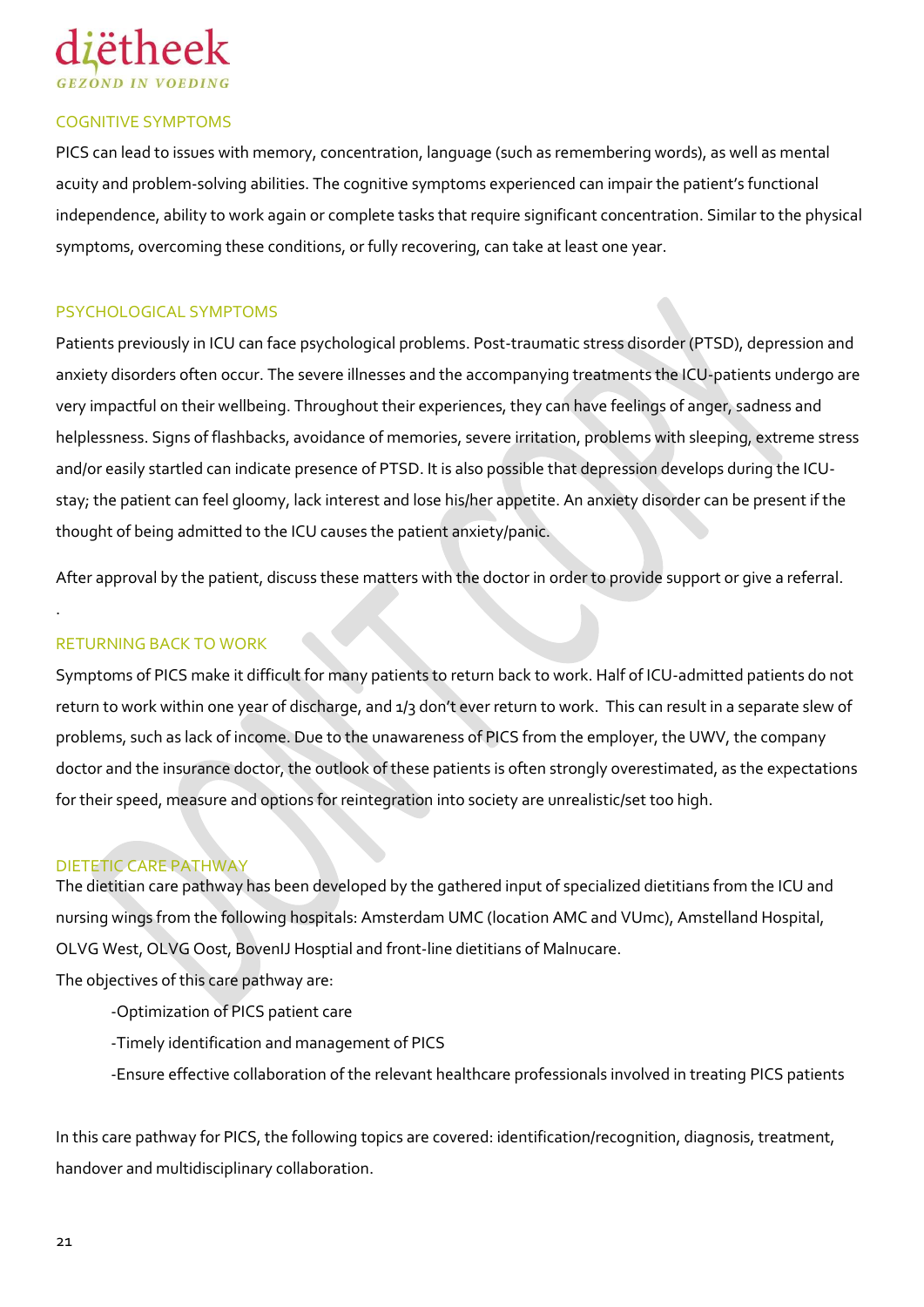

#### <span id="page-20-0"></span>COGNITIVE SYMPTOMS

PICS can lead to issues with memory, concentration, language (such as remembering words), as well as mental acuity and problem-solving abilities. The cognitive symptoms experienced can impair the patient's functional independence, ability to work again or complete tasks that require significant concentration. Similar to the physical symptoms, overcoming these conditions, or fully recovering, can take at least one year.

#### <span id="page-20-1"></span>PSYCHOLOGICAL SYMPTOMS

Patients previously in ICU can face psychological problems. Post-traumatic stress disorder (PTSD), depression and anxiety disorders often occur. The severe illnesses and the accompanying treatments the ICU-patients undergo are very impactful on their wellbeing. Throughout their experiences, they can have feelings of anger, sadness and helplessness. Signs of flashbacks, avoidance of memories, severe irritation, problems with sleeping, extreme stress and/or easily startled can indicate presence of PTSD. It is also possible that depression develops during the ICUstay; the patient can feel gloomy, lack interest and lose his/her appetite. An anxiety disorder can be present if the thought of being admitted to the ICU causes the patient anxiety/panic.

After approval by the patient, discuss these matters with the doctor in order to provide support or give a referral.

#### <span id="page-20-2"></span>RETURNING BACK TO WORK

.

Symptoms of PICS make it difficult for many patients to return back to work. Half of ICU-admitted patients do not return to work within one year of discharge, and 1/3 don't ever return to work. This can result in a separate slew of problems, such as lack of income. Due to the unawareness of PICS from the employer, the UWV, the company doctor and the insurance doctor, the outlook of these patients is often strongly overestimated, as the expectations for their speed, measure and options for reintegration into society are unrealistic/set too high.

#### <span id="page-20-3"></span>DIETETIC CARE PATHWAY

The dietitian care pathway has been developed by the gathered input of specialized dietitians from the ICU and nursing wings from the following hospitals: Amsterdam UMC (location AMC and VUmc), Amstelland Hospital, OLVG West, OLVG Oost, BovenIJ Hosptial and front-line dietitians of Malnucare.

The objectives of this care pathway are:

- -Optimization of PICS patient care
- -Timely identification and management of PICS
- -Ensure effective collaboration of the relevant healthcare professionals involved in treating PICS patients

In this care pathway for PICS, the following topics are covered: identification/recognition, diagnosis, treatment, handover and multidisciplinary collaboration.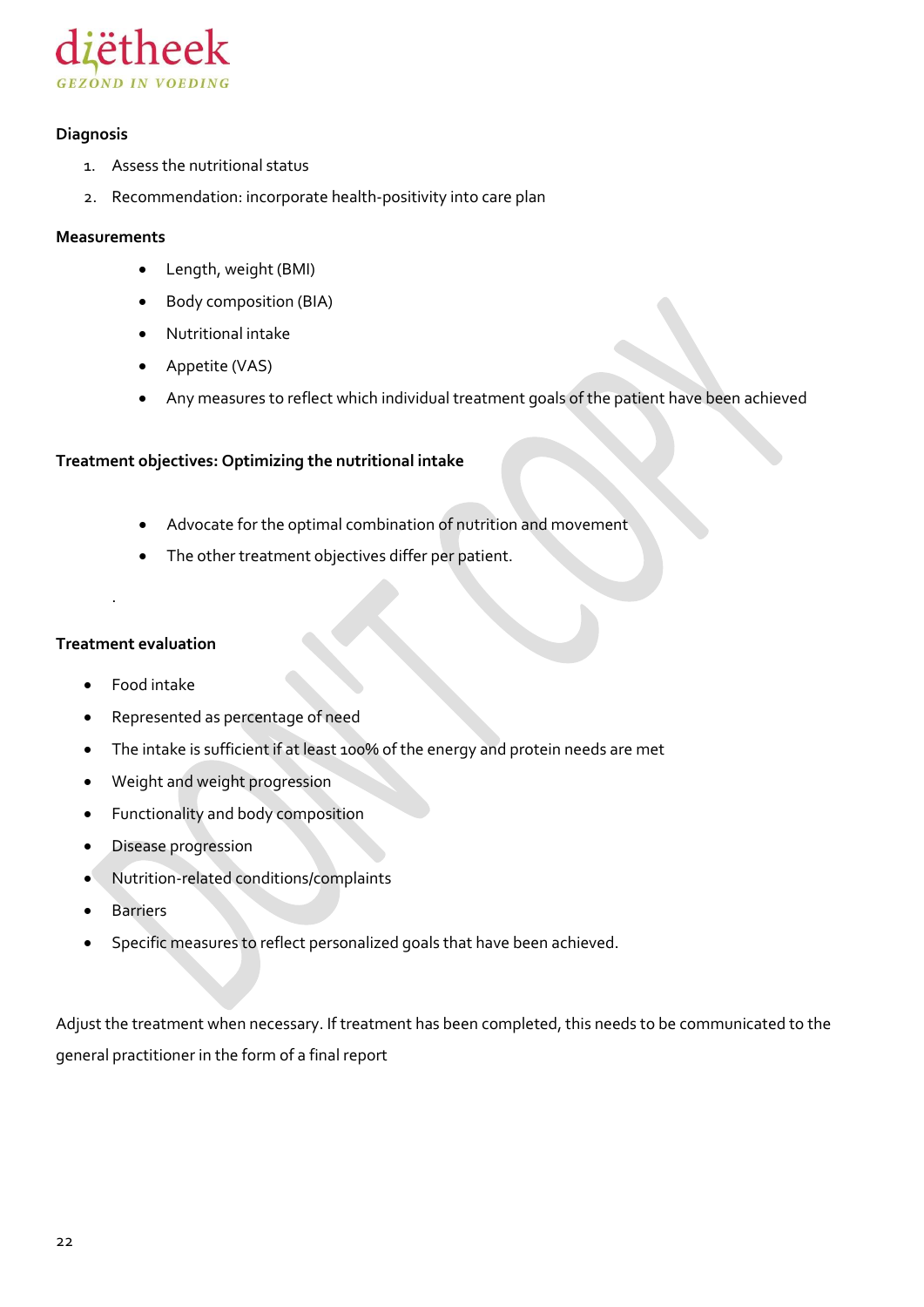

#### **Diagnosis**

- 1. Assess the nutritional status
- 2. Recommendation: incorporate health-positivity into care plan

#### **Measurements**

- Length, weight (BMI)
- Body composition (BIA)
- Nutritional intake
- Appetite (VAS)
- Any measures to reflect which individual treatment goals of the patient have been achieved

#### **Treatment objectives: Optimizing the nutritional intake**

- Advocate for the optimal combination of nutrition and movement
- The other treatment objectives differ per patient.

#### **Treatment evaluation**

.

- Food intake
- Represented as percentage of need
- The intake is sufficient if at least 100% of the energy and protein needs are met
- Weight and weight progression
- Functionality and body composition
- Disease progression
- Nutrition-related conditions/complaints
- Barriers
- Specific measures to reflect personalized goals that have been achieved.

Adjust the treatment when necessary. If treatment has been completed, this needs to be communicated to the general practitioner in the form of a final report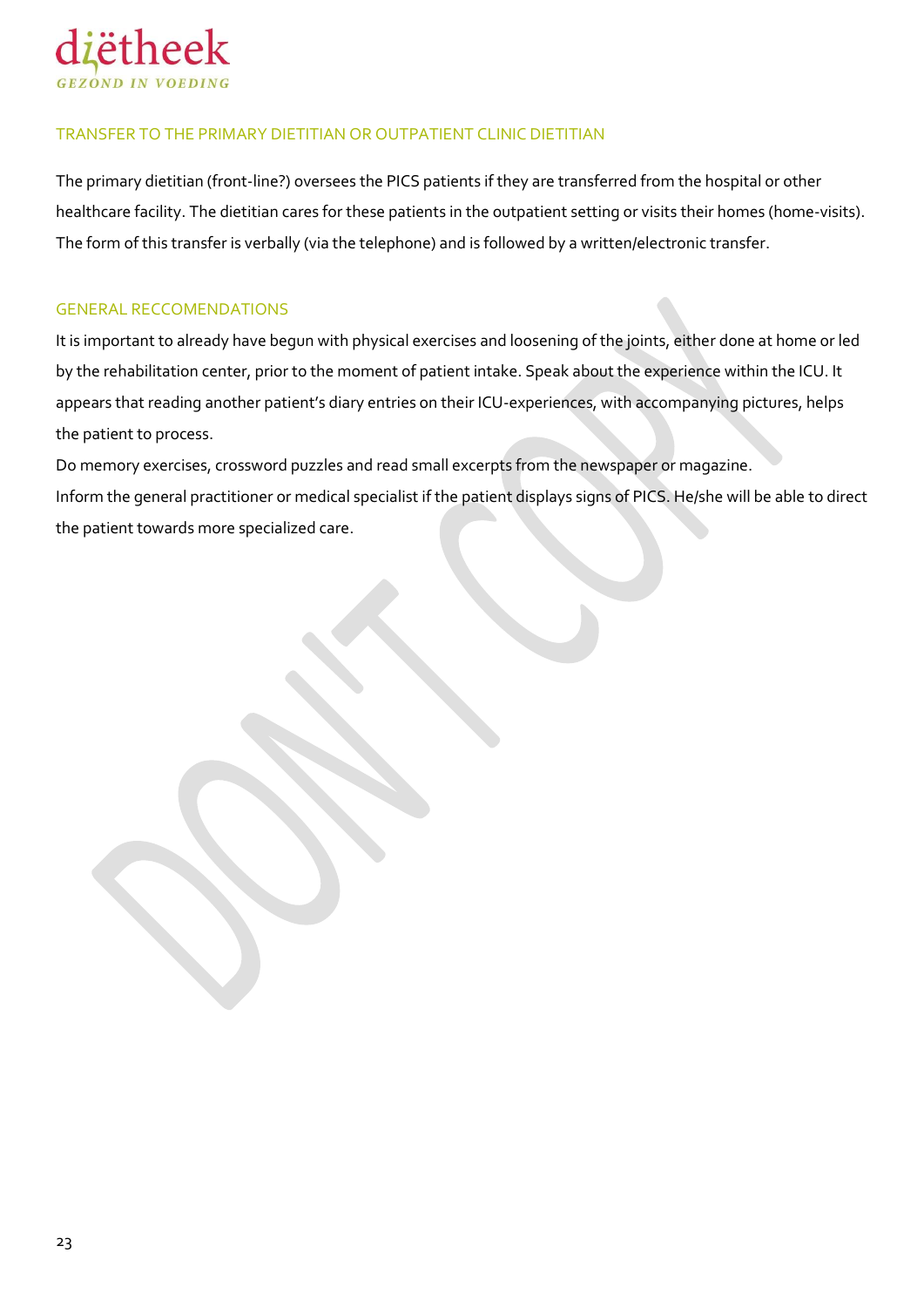

#### TRANSFER TO THE PRIMARY DIETITIAN OR OUTPATIENT CLINIC DIETITIAN

The primary dietitian (front-line?) oversees the PICS patients if they are transferred from the hospital or other healthcare facility. The dietitian cares for these patients in the outpatient setting or visits their homes (home-visits). The form of this transfer is verbally (via the telephone) and is followed by a written/electronic transfer.

#### <span id="page-22-0"></span>GENERAL RECCOMENDATIONS

It is important to already have begun with physical exercises and loosening of the joints, either done at home or led by the rehabilitation center, prior to the moment of patient intake. Speak about the experience within the ICU. It appears that reading another patient's diary entries on their ICU-experiences, with accompanying pictures, helps the patient to process.

Do memory exercises, crossword puzzles and read small excerpts from the newspaper or magazine. Inform the general practitioner or medical specialist if the patient displays signs of PICS. He/she will be able to direct

the patient towards more specialized care.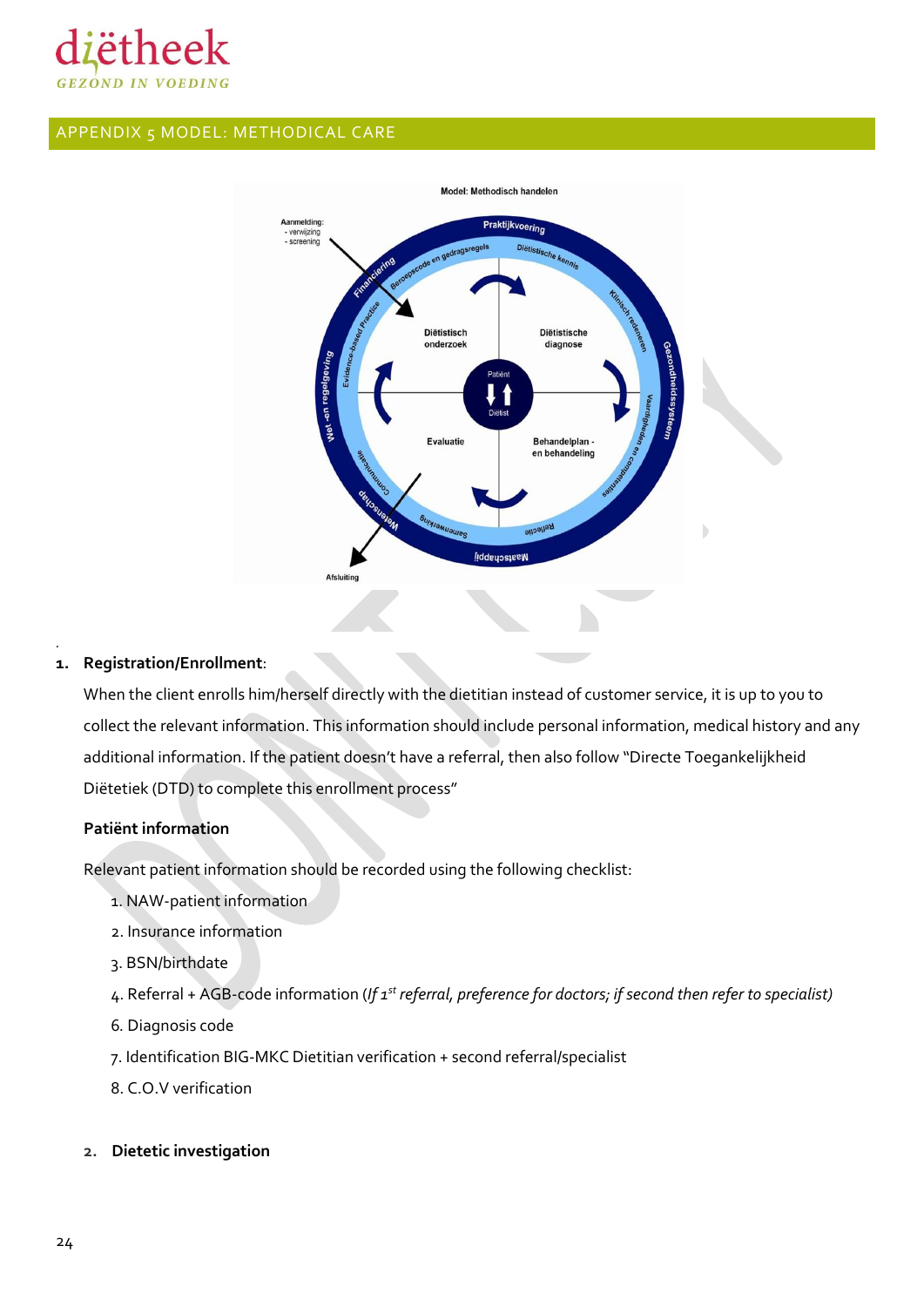

#### <span id="page-23-0"></span>APPENDIX 5 MODEL: METHODICAL CARE



#### **1. Registration/Enrollment**:

*.*

When the client enrolls him/herself directly with the dietitian instead of customer service, it is up to you to collect the relevant information. This information should include personal information, medical history and any additional information. If the patient doesn't have a referral, then also follow "Directe Toegankelijkheid Diëtetiek (DTD) to complete this enrollment process"

#### **Patiënt information**

Relevant patient information should be recorded using the following checklist:

- 1. NAW-patient information
- 2. Insurance information
- 3. BSN/birthdate
- 4. Referral + AGB-code information (*If 1st referral, preference for doctors; if second then refer to specialist)*
- 6*.* Diagnosis code
- 7. Identification BIG-MKC Dietitian verification + second referral/specialist
- 8. C.O.V verification
- **2. Dietetic investigation**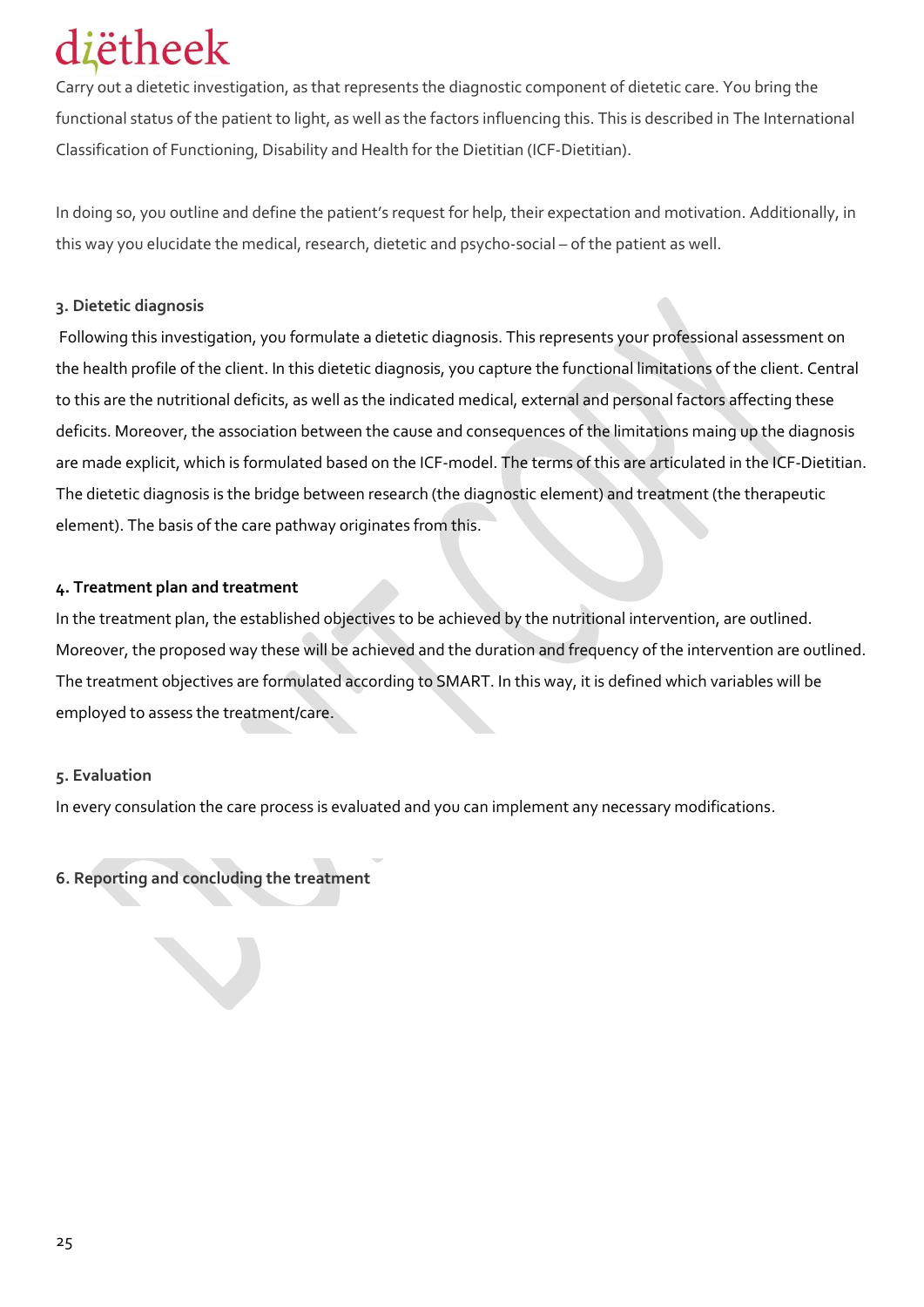### iëtheek

Carry out a dietetic investigation, as that represents the diagnostic component of dietetic care. You bring the functional status of the patient to light, as well as the factors influencing this. This is described in The International Classification of Functioning, Disability and Health for the Dietitian (ICF-Dietitian).

In doing so, you outline and define the patient's request for help, their expectation and motivation. Additionally, in this way you elucidate the medical, research, dietetic and psycho-social – of the patient as well.

#### **3. Dietetic diagnosis**

Following this investigation, you formulate a dietetic diagnosis. This represents your professional assessment on the health profile of the client. In this dietetic diagnosis, you capture the functional limitations of the client. Central to this are the nutritional deficits, as well as the indicated medical, external and personal factors affecting these deficits. Moreover, the association between the cause and consequences of the limitations maing up the diagnosis are made explicit, which is formulated based on the ICF-model. The terms of this are articulated in the ICF-Dietitian. The dietetic diagnosis is the bridge between research (the diagnostic element) and treatment (the therapeutic element). The basis of the care pathway originates from this.

#### **4. Treatment plan and treatment**

In the treatment plan, the established objectives to be achieved by the nutritional intervention, are outlined. Moreover, the proposed way these will be achieved and the duration and frequency of the intervention are outlined. The treatment objectives are formulated according to SMART. In this way, it is defined which variables will be employed to assess the treatment/care.

#### **5. Evaluation**

In every consulation the care process is evaluated and you can implement any necessary modifications.

**6. Reporting and concluding the treatment**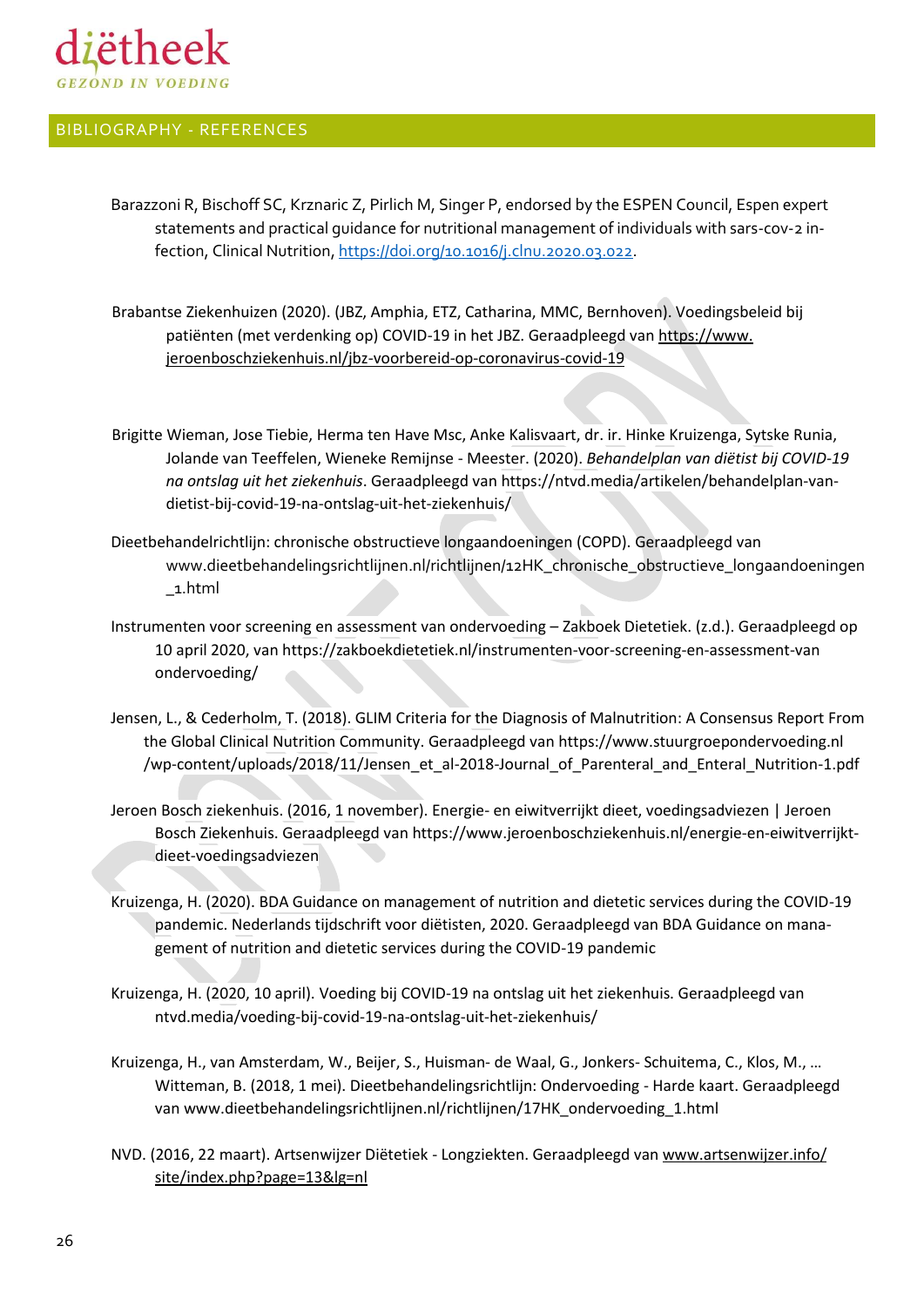

#### <span id="page-25-0"></span>BIBLIOGRAPHY - REFERENCES

- Barazzoni R, Bischoff SC, Krznaric Z, Pirlich M, Singer P, endorsed by the ESPEN Council, Espen expert statements and practical guidance for nutritional management of individuals with sars-cov-2 infection, Clinical Nutrition[, https://doi.org/10.1016/j.clnu.2020.03.022.](https://doi.org/10.1016/j.clnu.2020.03.022)
- Brabantse Ziekenhuizen (2020). (JBZ, Amphia, ETZ, Catharina, MMC, Bernhoven). Voedingsbeleid bij patiënten (met verdenking op) COVID-19 in het JBZ. Geraadpleegd van [https://www.](https://www.jeroenboschziekenhuis.nl/jbz-voorbereid-op-coronavirus-covid-19) [jeroenboschziekenhuis.nl/jbz-voorbereid-op-coronavirus-covid-19](https://www.jeroenboschziekenhuis.nl/jbz-voorbereid-op-coronavirus-covid-19)
- Brigitte Wieman, Jose Tiebie, Herma ten Have Msc, Anke Kalisvaart, dr. ir. Hinke Kruizenga, Sytske Runia, Jolande van Teeffelen, Wieneke Remijnse - Meester. (2020). *Behandelplan van diëtist bij COVID-19 na ontslag uit het ziekenhuis*. Geraadpleegd van https://ntvd.media/artikelen/behandelplan-vandietist-bij-covid-19-na-ontslag-uit-het-ziekenhuis/
- Dieetbehandelrichtlijn: chronische obstructieve longaandoeningen (COPD). Geraadpleegd van www.dieetbehandelingsrichtlijnen.nl/richtlijnen/12HK\_chronische\_obstructieve\_longaandoeningen \_1.html
- Instrumenten voor screening en assessment van ondervoeding Zakboek Dietetiek. (z.d.). Geraadpleegd op 10 april 2020, van https://zakboekdietetiek.nl/instrumenten-voor-screening-en-assessment-van ondervoeding/
- Jensen, L., & Cederholm, T. (2018). GLIM Criteria for the Diagnosis of Malnutrition: A Consensus Report From the Global Clinical Nutrition Community. Geraadpleegd van https://www.stuurgroepondervoeding.nl /wp-content/uploads/2018/11/Jensen\_et\_al-2018-Journal\_of\_Parenteral\_and\_Enteral\_Nutrition-1.pdf
- Jeroen Bosch ziekenhuis. (2016, 1 november). Energie- en eiwitverrijkt dieet, voedingsadviezen | Jeroen Bosch Ziekenhuis. Geraadpleegd van https://www.jeroenboschziekenhuis.nl/energie-en-eiwitverrijktdieet-voedingsadviezen
- Kruizenga, H. (2020). BDA Guidance on management of nutrition and dietetic services during the COVID-19 pandemic. Nederlands tijdschrift voor diëtisten, 2020. Geraadpleegd van BDA Guidance on management of nutrition and dietetic services during the COVID-19 pandemic
- Kruizenga, H. (2020, 10 april). Voeding bij COVID-19 na ontslag uit het ziekenhuis. Geraadpleegd van ntvd.media/voeding-bij-covid-19-na-ontslag-uit-het-ziekenhuis/
- Kruizenga, H., van Amsterdam, W., Beijer, S., Huisman- de Waal, G., Jonkers- Schuitema, C., Klos, M., … Witteman, B. (2018, 1 mei). Dieetbehandelingsrichtlijn: Ondervoeding - Harde kaart. Geraadpleegd van www.dieetbehandelingsrichtlijnen.nl/richtlijnen/17HK\_ondervoeding\_1.html
- NVD. (2016, 22 maart). Artsenwijzer Diëtetiek Longziekten. Geraadpleegd van [www.artsenwijzer.info/](http://www.artsenwijzer.info/‌site/index.php?page=13&lg=nl) [site/index.php?page=13&lg=nl](http://www.artsenwijzer.info/‌site/index.php?page=13&lg=nl)